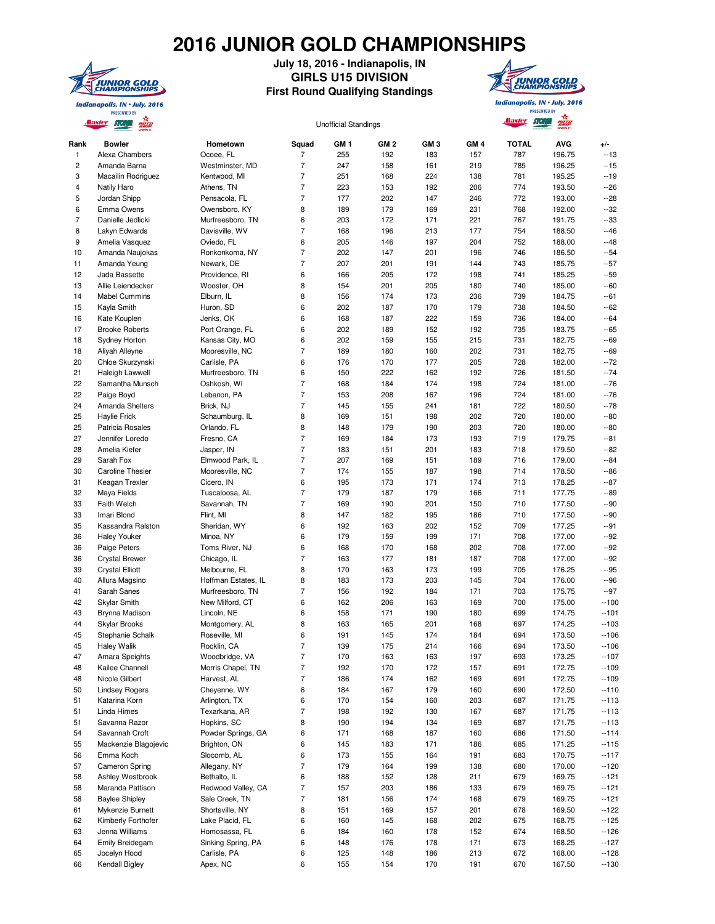## **2016 JUNIOR GOLD CHAMPIONSHIPS**



## **July 18, 2016 - Indianapolis, IN GIRLS U15 DIVISION First Round Qualifying Standings**



Indianapolis, IN . July, 2016 **PRESENTED BY** 

| GM <sub>1</sub><br>GM <sub>2</sub><br>GM <sub>3</sub><br>GM <sub>4</sub><br><b>TOTAL</b><br><b>AVG</b><br><b>Bowler</b><br>Hometown<br>Squad<br>Alexa Chambers<br>255<br>183<br>787<br>196.75<br>Ocoee, FL<br>7<br>192<br>157<br>$\overline{7}$<br>247<br>Amanda Barna<br>Westminster, MD<br>158<br>161<br>219<br>785<br>196.25<br>7<br>251<br>224<br>195.25<br>Macailin Rodriguez<br>Kentwood, MI<br>168<br>138<br>781<br>$\overline{7}$<br>223<br>153<br>192<br>206<br>774<br>193.50<br>Natily Haro<br>Athens, TN<br>7<br>177<br>202<br>147<br>772<br>193.00<br>Jordan Shipp<br>Pensacola, FL<br>246<br>8<br>189<br>179<br>231<br>768<br>192.00<br>Emma Owens<br>Owensboro, KY<br>169<br>Danielle Jedlicki<br>6<br>203<br>767<br>191.75<br>Murfreesboro, TN<br>172<br>171<br>221<br>$\overline{7}$<br>Lakyn Edwards<br>Davisville, WV<br>168<br>213<br>177<br>188.50<br>196<br>754<br>6<br>205<br>197<br>204<br>752<br>188.00<br>Amelia Vasquez<br>Oviedo, FL<br>146<br>$\overline{7}$<br>202<br>186.50<br>Amanda Naujokas<br>Ronkonkoma, NY<br>147<br>201<br>196<br>746<br>$\overline{7}$<br>207<br>185.75<br>Amanda Yeung<br>Newark, DE<br>201<br>191<br>144<br>743<br>6<br>185.25<br>Jada Bassette<br>Providence, RI<br>166<br>205<br>172<br>198<br>741<br>8<br>154<br>201<br>205<br>185.00<br>Allie Leiendecker<br>Wooster, OH<br>180<br>740<br><b>Mabel Cummins</b><br>8<br>174<br>173<br>236<br>739<br>184.75<br>Elburn, IL<br>156<br>6<br>202<br>170<br>179<br>184.50<br>Kayla Smith<br>Huron, SD<br>187<br>738<br>Jenks, OK<br>6<br>168<br>187<br>222<br>184.00<br>Kate Kouplen<br>159<br>736<br>6<br>202<br>152<br>192<br>735<br>183.75<br><b>Brooke Roberts</b><br>Port Orange, FL<br>189<br>6<br>202<br>155<br>731<br>182.75<br><b>Sydney Horton</b><br>Kansas City, MO<br>159<br>215<br>$\overline{7}$<br>189<br>202<br>182.75<br>Aliyah Alleyne<br>Mooresville, NC<br>180<br>160<br>731<br>6<br>176<br>205<br>728<br>182.00<br>Chloe Skurzynski<br>Carlisle, PA<br>170<br>177<br>6<br>150<br>222<br>162<br>192<br>726<br>181.50<br>Haleigh Lawwell<br>Murfreesboro, TN<br>7<br>168<br>184<br>174<br>198<br>724<br>181.00<br>Samantha Munsch<br>Oshkosh, WI<br>$\overline{7}$<br>153<br>208<br>724<br>181.00<br>Paige Boyd<br>Lebanon, PA<br>167<br>196<br>$\overline{7}$<br>145<br>241<br>181<br>722<br>180.50<br>Amanda Shelters<br>Brick, NJ<br>155<br>8<br>169<br>198<br>202<br>720<br>180.00<br><b>Haylie Frick</b><br>Schaumburg, IL<br>151<br>8<br>148<br>720<br>180.00<br>Patricia Rosales<br>Orlando, FL<br>179<br>190<br>203<br>$\overline{7}$<br>179.75<br>Jennifer Loredo<br>Fresno, CA<br>169<br>184<br>173<br>193<br>719<br>$\overline{7}$<br>201<br>718<br>179.50<br>Amelia Kiefer<br>Jasper, IN<br>183<br>151<br>183<br>$\overline{7}$<br>207<br>151<br>189<br>716<br>179.00<br>Sarah Fox<br>Elmwood Park, IL<br>169<br>7<br><b>Caroline Thesier</b><br>174<br>155<br>187<br>198<br>714<br>178.50<br>Mooresville, NC<br>6<br>195<br>173<br>171<br>174<br>713<br>178.25<br>Keagan Trexler<br>Cicero, IN<br>7<br>179<br>711<br>177.75<br>Maya Fields<br>Tuscaloosa, AL<br>187<br>179<br>166<br>$\overline{7}$<br>169<br>201<br>710<br>177.50<br><b>Faith Welch</b><br>Savannah, TN<br>190<br>150<br>Imari Blond<br>8<br>147<br>195<br>710<br>177.50<br>Flint, MI<br>182<br>186<br>Sheridan, WY<br>6<br>192<br>152<br>709<br>177.25<br>Kassandra Ralston<br>163<br>202<br>6<br><b>Haley Youker</b><br>Minoa, NY<br>179<br>159<br>199<br>171<br>708<br>177.00<br>Toms River, NJ<br>6<br>202<br>Paige Peters<br>168<br>170<br>168<br>708<br>177.00<br>$\overline{7}$<br>163<br>177<br>187<br>708<br>177.00<br><b>Crystal Brewer</b><br>Chicago, IL<br>181<br>8<br>170<br>163<br>173<br>199<br>176.25<br><b>Crystal Elliott</b><br>Melbourne, FL<br>705<br>8<br>183<br>203<br>176.00<br>Allura Magsino<br>Hoffman Estates, IL<br>173<br>145<br>704<br>7<br>192<br>184<br>175.75<br>Sarah Sanes<br>Murfreesboro, TN<br>156<br>171<br>703<br>New Milford, CT<br>6<br>162<br>206<br>169<br>700<br>175.00<br><b>Skylar Smith</b><br>163<br>6<br>158<br>171<br>190<br>699<br>174.75<br>Brynna Madison<br>Lincoln, NE<br>180<br>Skylar Brooks<br>Montgomery, AL<br>8<br>163<br>165<br>201<br>168<br>697<br>174.25<br>Stephanie Schalk<br>Roseville, MI<br>6<br>191<br>145<br>174<br>184<br>694<br>173.50<br>$\overline{7}$<br>214<br><b>Haley Walik</b><br>Rocklin, CA<br>139<br>175<br>166<br>694<br>173.50<br>$\overline{7}$<br>170<br>197<br>173.25<br>Amara Speights<br>Woodbridge, VA<br>163<br>163<br>693<br>$\overline{7}$<br>Morris Chapel, TN<br>172.75<br>Kailee Channell<br>192<br>170<br>172<br>157<br>691<br>7<br>172.75<br>Nicole Gilbert<br>Harvest, AL<br>186<br>174<br>162<br>169<br>691<br>Cheyenne, WY<br>6<br>172.50<br><b>Lindsey Rogers</b><br>184<br>167<br>179<br>160<br>690<br>171.75<br>Katarina Korn<br>Arlington, TX<br>6<br>170<br>154<br>160<br>203<br>687<br>$\overline{7}$<br>171.75<br>Linda Himes<br>Texarkana, AR<br>198<br>192<br>130<br>167<br>687<br>Hopkins, SC<br>Savanna Razor<br>8<br>190<br>194<br>134<br>169<br>687<br>171.75<br>Powder Springs, GA<br>6<br>Savannah Croft<br>171<br>168<br>187<br>160<br>686<br>171.50<br>Brighton, ON<br>6<br>171.25<br>Mackenzie Blagojevic<br>145<br>183<br>171<br>186<br>685<br>6<br>173<br>191<br>170.75<br>Emma Koch<br>Slocomb, AL<br>155<br>164<br>683<br>7<br>170.00<br><b>Cameron Spring</b><br>Allegany, NY<br>179<br>164<br>199<br>138<br>680<br>Bethalto, IL<br>169.75<br>Ashley Westbrook<br>6<br>188<br>152<br>128<br>211<br>679<br>$\overline{7}$<br>169.75<br>Maranda Pattison<br>Redwood Valley, CA<br>157<br>203<br>186<br>133<br>679<br>7<br>169.75<br><b>Baylee Shipley</b><br>Sale Creek, TN<br>181<br>156<br>174<br>168<br>679<br>8<br>Mykenzie Burnett<br>Shortsville, NY<br>151<br>169<br>157<br>201<br>678<br>169.50<br>Lake Placid, FL<br>202<br>Kimberly Forthofer<br>6<br>160<br>145<br>168<br>675<br>168.75<br>6<br>168.50<br>Jenna Williams<br>Homosassa, FL<br>184<br>160<br>178<br>152<br>674<br>6<br>673<br>168.25<br>Emily Breidegam<br>Sinking Spring, PA<br>148<br>176<br>178<br>171 |                         | <u>Alaster</u><br>$\pi$<br>ROTO |              |   | <b>Unofficial Standings</b> |     |     |     | <u>Alaster</u> | ROTO   |                |
|--------------------------------------------------------------------------------------------------------------------------------------------------------------------------------------------------------------------------------------------------------------------------------------------------------------------------------------------------------------------------------------------------------------------------------------------------------------------------------------------------------------------------------------------------------------------------------------------------------------------------------------------------------------------------------------------------------------------------------------------------------------------------------------------------------------------------------------------------------------------------------------------------------------------------------------------------------------------------------------------------------------------------------------------------------------------------------------------------------------------------------------------------------------------------------------------------------------------------------------------------------------------------------------------------------------------------------------------------------------------------------------------------------------------------------------------------------------------------------------------------------------------------------------------------------------------------------------------------------------------------------------------------------------------------------------------------------------------------------------------------------------------------------------------------------------------------------------------------------------------------------------------------------------------------------------------------------------------------------------------------------------------------------------------------------------------------------------------------------------------------------------------------------------------------------------------------------------------------------------------------------------------------------------------------------------------------------------------------------------------------------------------------------------------------------------------------------------------------------------------------------------------------------------------------------------------------------------------------------------------------------------------------------------------------------------------------------------------------------------------------------------------------------------------------------------------------------------------------------------------------------------------------------------------------------------------------------------------------------------------------------------------------------------------------------------------------------------------------------------------------------------------------------------------------------------------------------------------------------------------------------------------------------------------------------------------------------------------------------------------------------------------------------------------------------------------------------------------------------------------------------------------------------------------------------------------------------------------------------------------------------------------------------------------------------------------------------------------------------------------------------------------------------------------------------------------------------------------------------------------------------------------------------------------------------------------------------------------------------------------------------------------------------------------------------------------------------------------------------------------------------------------------------------------------------------------------------------------------------------------------------------------------------------------------------------------------------------------------------------------------------------------------------------------------------------------------------------------------------------------------------------------------------------------------------------------------------------------------------------------------------------------------------------------------------------------------------------------------------------------------------------------------------------------------------------------------------------------------------------------------------------------------------------------------------------------------------------------------------------------------------------------------------------------------------------------------------------------------------------------------------------------------------------------------------------------------------------------------------------------------------------------------------------------------------------------------------------------------------------------------------------------------------------------------------------------------------------------------------------------------------------------------------------------------------------------------------------------------------------------------------------------------------------------------------------------------------------------------------------------------------------------------------------------------------------------------------------------------------------------------------------------------------------------------------------------------------------------------------------------------------------------------------------------------------------------------------------------------------------------------|-------------------------|---------------------------------|--------------|---|-----------------------------|-----|-----|-----|----------------|--------|----------------|
|                                                                                                                                                                                                                                                                                                                                                                                                                                                                                                                                                                                                                                                                                                                                                                                                                                                                                                                                                                                                                                                                                                                                                                                                                                                                                                                                                                                                                                                                                                                                                                                                                                                                                                                                                                                                                                                                                                                                                                                                                                                                                                                                                                                                                                                                                                                                                                                                                                                                                                                                                                                                                                                                                                                                                                                                                                                                                                                                                                                                                                                                                                                                                                                                                                                                                                                                                                                                                                                                                                                                                                                                                                                                                                                                                                                                                                                                                                                                                                                                                                                                                                                                                                                                                                                                                                                                                                                                                                                                                                                                                                                                                                                                                                                                                                                                                                                                                                                                                                                                                                                                                                                                                                                                                                                                                                                                                                                                                                                                                                                                                                                                                                                                                                                                                                                                                                                                                                                                                                                                                                                                                                                          | Rank                    |                                 |              |   |                             |     |     |     |                |        | $+/-$          |
|                                                                                                                                                                                                                                                                                                                                                                                                                                                                                                                                                                                                                                                                                                                                                                                                                                                                                                                                                                                                                                                                                                                                                                                                                                                                                                                                                                                                                                                                                                                                                                                                                                                                                                                                                                                                                                                                                                                                                                                                                                                                                                                                                                                                                                                                                                                                                                                                                                                                                                                                                                                                                                                                                                                                                                                                                                                                                                                                                                                                                                                                                                                                                                                                                                                                                                                                                                                                                                                                                                                                                                                                                                                                                                                                                                                                                                                                                                                                                                                                                                                                                                                                                                                                                                                                                                                                                                                                                                                                                                                                                                                                                                                                                                                                                                                                                                                                                                                                                                                                                                                                                                                                                                                                                                                                                                                                                                                                                                                                                                                                                                                                                                                                                                                                                                                                                                                                                                                                                                                                                                                                                                                          | 1<br>2                  |                                 |              |   |                             |     |     |     |                |        | $-13$<br>$-15$ |
|                                                                                                                                                                                                                                                                                                                                                                                                                                                                                                                                                                                                                                                                                                                                                                                                                                                                                                                                                                                                                                                                                                                                                                                                                                                                                                                                                                                                                                                                                                                                                                                                                                                                                                                                                                                                                                                                                                                                                                                                                                                                                                                                                                                                                                                                                                                                                                                                                                                                                                                                                                                                                                                                                                                                                                                                                                                                                                                                                                                                                                                                                                                                                                                                                                                                                                                                                                                                                                                                                                                                                                                                                                                                                                                                                                                                                                                                                                                                                                                                                                                                                                                                                                                                                                                                                                                                                                                                                                                                                                                                                                                                                                                                                                                                                                                                                                                                                                                                                                                                                                                                                                                                                                                                                                                                                                                                                                                                                                                                                                                                                                                                                                                                                                                                                                                                                                                                                                                                                                                                                                                                                                                          | 3                       |                                 |              |   |                             |     |     |     |                |        | $-19$          |
|                                                                                                                                                                                                                                                                                                                                                                                                                                                                                                                                                                                                                                                                                                                                                                                                                                                                                                                                                                                                                                                                                                                                                                                                                                                                                                                                                                                                                                                                                                                                                                                                                                                                                                                                                                                                                                                                                                                                                                                                                                                                                                                                                                                                                                                                                                                                                                                                                                                                                                                                                                                                                                                                                                                                                                                                                                                                                                                                                                                                                                                                                                                                                                                                                                                                                                                                                                                                                                                                                                                                                                                                                                                                                                                                                                                                                                                                                                                                                                                                                                                                                                                                                                                                                                                                                                                                                                                                                                                                                                                                                                                                                                                                                                                                                                                                                                                                                                                                                                                                                                                                                                                                                                                                                                                                                                                                                                                                                                                                                                                                                                                                                                                                                                                                                                                                                                                                                                                                                                                                                                                                                                                          | $\overline{\mathbf{4}}$ |                                 |              |   |                             |     |     |     |                |        | $-26$          |
|                                                                                                                                                                                                                                                                                                                                                                                                                                                                                                                                                                                                                                                                                                                                                                                                                                                                                                                                                                                                                                                                                                                                                                                                                                                                                                                                                                                                                                                                                                                                                                                                                                                                                                                                                                                                                                                                                                                                                                                                                                                                                                                                                                                                                                                                                                                                                                                                                                                                                                                                                                                                                                                                                                                                                                                                                                                                                                                                                                                                                                                                                                                                                                                                                                                                                                                                                                                                                                                                                                                                                                                                                                                                                                                                                                                                                                                                                                                                                                                                                                                                                                                                                                                                                                                                                                                                                                                                                                                                                                                                                                                                                                                                                                                                                                                                                                                                                                                                                                                                                                                                                                                                                                                                                                                                                                                                                                                                                                                                                                                                                                                                                                                                                                                                                                                                                                                                                                                                                                                                                                                                                                                          | 5                       |                                 |              |   |                             |     |     |     |                |        | $-28$          |
|                                                                                                                                                                                                                                                                                                                                                                                                                                                                                                                                                                                                                                                                                                                                                                                                                                                                                                                                                                                                                                                                                                                                                                                                                                                                                                                                                                                                                                                                                                                                                                                                                                                                                                                                                                                                                                                                                                                                                                                                                                                                                                                                                                                                                                                                                                                                                                                                                                                                                                                                                                                                                                                                                                                                                                                                                                                                                                                                                                                                                                                                                                                                                                                                                                                                                                                                                                                                                                                                                                                                                                                                                                                                                                                                                                                                                                                                                                                                                                                                                                                                                                                                                                                                                                                                                                                                                                                                                                                                                                                                                                                                                                                                                                                                                                                                                                                                                                                                                                                                                                                                                                                                                                                                                                                                                                                                                                                                                                                                                                                                                                                                                                                                                                                                                                                                                                                                                                                                                                                                                                                                                                                          | 6                       |                                 |              |   |                             |     |     |     |                |        | $-32$          |
|                                                                                                                                                                                                                                                                                                                                                                                                                                                                                                                                                                                                                                                                                                                                                                                                                                                                                                                                                                                                                                                                                                                                                                                                                                                                                                                                                                                                                                                                                                                                                                                                                                                                                                                                                                                                                                                                                                                                                                                                                                                                                                                                                                                                                                                                                                                                                                                                                                                                                                                                                                                                                                                                                                                                                                                                                                                                                                                                                                                                                                                                                                                                                                                                                                                                                                                                                                                                                                                                                                                                                                                                                                                                                                                                                                                                                                                                                                                                                                                                                                                                                                                                                                                                                                                                                                                                                                                                                                                                                                                                                                                                                                                                                                                                                                                                                                                                                                                                                                                                                                                                                                                                                                                                                                                                                                                                                                                                                                                                                                                                                                                                                                                                                                                                                                                                                                                                                                                                                                                                                                                                                                                          | $\overline{7}$          |                                 |              |   |                             |     |     |     |                |        | $-33$          |
|                                                                                                                                                                                                                                                                                                                                                                                                                                                                                                                                                                                                                                                                                                                                                                                                                                                                                                                                                                                                                                                                                                                                                                                                                                                                                                                                                                                                                                                                                                                                                                                                                                                                                                                                                                                                                                                                                                                                                                                                                                                                                                                                                                                                                                                                                                                                                                                                                                                                                                                                                                                                                                                                                                                                                                                                                                                                                                                                                                                                                                                                                                                                                                                                                                                                                                                                                                                                                                                                                                                                                                                                                                                                                                                                                                                                                                                                                                                                                                                                                                                                                                                                                                                                                                                                                                                                                                                                                                                                                                                                                                                                                                                                                                                                                                                                                                                                                                                                                                                                                                                                                                                                                                                                                                                                                                                                                                                                                                                                                                                                                                                                                                                                                                                                                                                                                                                                                                                                                                                                                                                                                                                          | 8                       |                                 |              |   |                             |     |     |     |                |        | $-46$          |
|                                                                                                                                                                                                                                                                                                                                                                                                                                                                                                                                                                                                                                                                                                                                                                                                                                                                                                                                                                                                                                                                                                                                                                                                                                                                                                                                                                                                                                                                                                                                                                                                                                                                                                                                                                                                                                                                                                                                                                                                                                                                                                                                                                                                                                                                                                                                                                                                                                                                                                                                                                                                                                                                                                                                                                                                                                                                                                                                                                                                                                                                                                                                                                                                                                                                                                                                                                                                                                                                                                                                                                                                                                                                                                                                                                                                                                                                                                                                                                                                                                                                                                                                                                                                                                                                                                                                                                                                                                                                                                                                                                                                                                                                                                                                                                                                                                                                                                                                                                                                                                                                                                                                                                                                                                                                                                                                                                                                                                                                                                                                                                                                                                                                                                                                                                                                                                                                                                                                                                                                                                                                                                                          | 9                       |                                 |              |   |                             |     |     |     |                |        | $-48$          |
|                                                                                                                                                                                                                                                                                                                                                                                                                                                                                                                                                                                                                                                                                                                                                                                                                                                                                                                                                                                                                                                                                                                                                                                                                                                                                                                                                                                                                                                                                                                                                                                                                                                                                                                                                                                                                                                                                                                                                                                                                                                                                                                                                                                                                                                                                                                                                                                                                                                                                                                                                                                                                                                                                                                                                                                                                                                                                                                                                                                                                                                                                                                                                                                                                                                                                                                                                                                                                                                                                                                                                                                                                                                                                                                                                                                                                                                                                                                                                                                                                                                                                                                                                                                                                                                                                                                                                                                                                                                                                                                                                                                                                                                                                                                                                                                                                                                                                                                                                                                                                                                                                                                                                                                                                                                                                                                                                                                                                                                                                                                                                                                                                                                                                                                                                                                                                                                                                                                                                                                                                                                                                                                          | 10                      |                                 |              |   |                             |     |     |     |                |        | $-54$          |
|                                                                                                                                                                                                                                                                                                                                                                                                                                                                                                                                                                                                                                                                                                                                                                                                                                                                                                                                                                                                                                                                                                                                                                                                                                                                                                                                                                                                                                                                                                                                                                                                                                                                                                                                                                                                                                                                                                                                                                                                                                                                                                                                                                                                                                                                                                                                                                                                                                                                                                                                                                                                                                                                                                                                                                                                                                                                                                                                                                                                                                                                                                                                                                                                                                                                                                                                                                                                                                                                                                                                                                                                                                                                                                                                                                                                                                                                                                                                                                                                                                                                                                                                                                                                                                                                                                                                                                                                                                                                                                                                                                                                                                                                                                                                                                                                                                                                                                                                                                                                                                                                                                                                                                                                                                                                                                                                                                                                                                                                                                                                                                                                                                                                                                                                                                                                                                                                                                                                                                                                                                                                                                                          | 11                      |                                 |              |   |                             |     |     |     |                |        | $-57$          |
|                                                                                                                                                                                                                                                                                                                                                                                                                                                                                                                                                                                                                                                                                                                                                                                                                                                                                                                                                                                                                                                                                                                                                                                                                                                                                                                                                                                                                                                                                                                                                                                                                                                                                                                                                                                                                                                                                                                                                                                                                                                                                                                                                                                                                                                                                                                                                                                                                                                                                                                                                                                                                                                                                                                                                                                                                                                                                                                                                                                                                                                                                                                                                                                                                                                                                                                                                                                                                                                                                                                                                                                                                                                                                                                                                                                                                                                                                                                                                                                                                                                                                                                                                                                                                                                                                                                                                                                                                                                                                                                                                                                                                                                                                                                                                                                                                                                                                                                                                                                                                                                                                                                                                                                                                                                                                                                                                                                                                                                                                                                                                                                                                                                                                                                                                                                                                                                                                                                                                                                                                                                                                                                          | 12                      |                                 |              |   |                             |     |     |     |                |        | $-59$          |
|                                                                                                                                                                                                                                                                                                                                                                                                                                                                                                                                                                                                                                                                                                                                                                                                                                                                                                                                                                                                                                                                                                                                                                                                                                                                                                                                                                                                                                                                                                                                                                                                                                                                                                                                                                                                                                                                                                                                                                                                                                                                                                                                                                                                                                                                                                                                                                                                                                                                                                                                                                                                                                                                                                                                                                                                                                                                                                                                                                                                                                                                                                                                                                                                                                                                                                                                                                                                                                                                                                                                                                                                                                                                                                                                                                                                                                                                                                                                                                                                                                                                                                                                                                                                                                                                                                                                                                                                                                                                                                                                                                                                                                                                                                                                                                                                                                                                                                                                                                                                                                                                                                                                                                                                                                                                                                                                                                                                                                                                                                                                                                                                                                                                                                                                                                                                                                                                                                                                                                                                                                                                                                                          | 13                      |                                 |              |   |                             |     |     |     |                |        | $-60$          |
|                                                                                                                                                                                                                                                                                                                                                                                                                                                                                                                                                                                                                                                                                                                                                                                                                                                                                                                                                                                                                                                                                                                                                                                                                                                                                                                                                                                                                                                                                                                                                                                                                                                                                                                                                                                                                                                                                                                                                                                                                                                                                                                                                                                                                                                                                                                                                                                                                                                                                                                                                                                                                                                                                                                                                                                                                                                                                                                                                                                                                                                                                                                                                                                                                                                                                                                                                                                                                                                                                                                                                                                                                                                                                                                                                                                                                                                                                                                                                                                                                                                                                                                                                                                                                                                                                                                                                                                                                                                                                                                                                                                                                                                                                                                                                                                                                                                                                                                                                                                                                                                                                                                                                                                                                                                                                                                                                                                                                                                                                                                                                                                                                                                                                                                                                                                                                                                                                                                                                                                                                                                                                                                          | 14                      |                                 |              |   |                             |     |     |     |                |        | $-61$          |
|                                                                                                                                                                                                                                                                                                                                                                                                                                                                                                                                                                                                                                                                                                                                                                                                                                                                                                                                                                                                                                                                                                                                                                                                                                                                                                                                                                                                                                                                                                                                                                                                                                                                                                                                                                                                                                                                                                                                                                                                                                                                                                                                                                                                                                                                                                                                                                                                                                                                                                                                                                                                                                                                                                                                                                                                                                                                                                                                                                                                                                                                                                                                                                                                                                                                                                                                                                                                                                                                                                                                                                                                                                                                                                                                                                                                                                                                                                                                                                                                                                                                                                                                                                                                                                                                                                                                                                                                                                                                                                                                                                                                                                                                                                                                                                                                                                                                                                                                                                                                                                                                                                                                                                                                                                                                                                                                                                                                                                                                                                                                                                                                                                                                                                                                                                                                                                                                                                                                                                                                                                                                                                                          | 15                      |                                 |              |   |                             |     |     |     |                |        | $-62$          |
|                                                                                                                                                                                                                                                                                                                                                                                                                                                                                                                                                                                                                                                                                                                                                                                                                                                                                                                                                                                                                                                                                                                                                                                                                                                                                                                                                                                                                                                                                                                                                                                                                                                                                                                                                                                                                                                                                                                                                                                                                                                                                                                                                                                                                                                                                                                                                                                                                                                                                                                                                                                                                                                                                                                                                                                                                                                                                                                                                                                                                                                                                                                                                                                                                                                                                                                                                                                                                                                                                                                                                                                                                                                                                                                                                                                                                                                                                                                                                                                                                                                                                                                                                                                                                                                                                                                                                                                                                                                                                                                                                                                                                                                                                                                                                                                                                                                                                                                                                                                                                                                                                                                                                                                                                                                                                                                                                                                                                                                                                                                                                                                                                                                                                                                                                                                                                                                                                                                                                                                                                                                                                                                          | 16                      |                                 |              |   |                             |     |     |     |                |        | $-64$          |
|                                                                                                                                                                                                                                                                                                                                                                                                                                                                                                                                                                                                                                                                                                                                                                                                                                                                                                                                                                                                                                                                                                                                                                                                                                                                                                                                                                                                                                                                                                                                                                                                                                                                                                                                                                                                                                                                                                                                                                                                                                                                                                                                                                                                                                                                                                                                                                                                                                                                                                                                                                                                                                                                                                                                                                                                                                                                                                                                                                                                                                                                                                                                                                                                                                                                                                                                                                                                                                                                                                                                                                                                                                                                                                                                                                                                                                                                                                                                                                                                                                                                                                                                                                                                                                                                                                                                                                                                                                                                                                                                                                                                                                                                                                                                                                                                                                                                                                                                                                                                                                                                                                                                                                                                                                                                                                                                                                                                                                                                                                                                                                                                                                                                                                                                                                                                                                                                                                                                                                                                                                                                                                                          | 17                      |                                 |              |   |                             |     |     |     |                |        | $-65$          |
|                                                                                                                                                                                                                                                                                                                                                                                                                                                                                                                                                                                                                                                                                                                                                                                                                                                                                                                                                                                                                                                                                                                                                                                                                                                                                                                                                                                                                                                                                                                                                                                                                                                                                                                                                                                                                                                                                                                                                                                                                                                                                                                                                                                                                                                                                                                                                                                                                                                                                                                                                                                                                                                                                                                                                                                                                                                                                                                                                                                                                                                                                                                                                                                                                                                                                                                                                                                                                                                                                                                                                                                                                                                                                                                                                                                                                                                                                                                                                                                                                                                                                                                                                                                                                                                                                                                                                                                                                                                                                                                                                                                                                                                                                                                                                                                                                                                                                                                                                                                                                                                                                                                                                                                                                                                                                                                                                                                                                                                                                                                                                                                                                                                                                                                                                                                                                                                                                                                                                                                                                                                                                                                          | 18                      |                                 |              |   |                             |     |     |     |                |        | $-69$          |
|                                                                                                                                                                                                                                                                                                                                                                                                                                                                                                                                                                                                                                                                                                                                                                                                                                                                                                                                                                                                                                                                                                                                                                                                                                                                                                                                                                                                                                                                                                                                                                                                                                                                                                                                                                                                                                                                                                                                                                                                                                                                                                                                                                                                                                                                                                                                                                                                                                                                                                                                                                                                                                                                                                                                                                                                                                                                                                                                                                                                                                                                                                                                                                                                                                                                                                                                                                                                                                                                                                                                                                                                                                                                                                                                                                                                                                                                                                                                                                                                                                                                                                                                                                                                                                                                                                                                                                                                                                                                                                                                                                                                                                                                                                                                                                                                                                                                                                                                                                                                                                                                                                                                                                                                                                                                                                                                                                                                                                                                                                                                                                                                                                                                                                                                                                                                                                                                                                                                                                                                                                                                                                                          | 18                      |                                 |              |   |                             |     |     |     |                |        | $-69$          |
|                                                                                                                                                                                                                                                                                                                                                                                                                                                                                                                                                                                                                                                                                                                                                                                                                                                                                                                                                                                                                                                                                                                                                                                                                                                                                                                                                                                                                                                                                                                                                                                                                                                                                                                                                                                                                                                                                                                                                                                                                                                                                                                                                                                                                                                                                                                                                                                                                                                                                                                                                                                                                                                                                                                                                                                                                                                                                                                                                                                                                                                                                                                                                                                                                                                                                                                                                                                                                                                                                                                                                                                                                                                                                                                                                                                                                                                                                                                                                                                                                                                                                                                                                                                                                                                                                                                                                                                                                                                                                                                                                                                                                                                                                                                                                                                                                                                                                                                                                                                                                                                                                                                                                                                                                                                                                                                                                                                                                                                                                                                                                                                                                                                                                                                                                                                                                                                                                                                                                                                                                                                                                                                          | 20                      |                                 |              |   |                             |     |     |     |                |        | $-72$          |
|                                                                                                                                                                                                                                                                                                                                                                                                                                                                                                                                                                                                                                                                                                                                                                                                                                                                                                                                                                                                                                                                                                                                                                                                                                                                                                                                                                                                                                                                                                                                                                                                                                                                                                                                                                                                                                                                                                                                                                                                                                                                                                                                                                                                                                                                                                                                                                                                                                                                                                                                                                                                                                                                                                                                                                                                                                                                                                                                                                                                                                                                                                                                                                                                                                                                                                                                                                                                                                                                                                                                                                                                                                                                                                                                                                                                                                                                                                                                                                                                                                                                                                                                                                                                                                                                                                                                                                                                                                                                                                                                                                                                                                                                                                                                                                                                                                                                                                                                                                                                                                                                                                                                                                                                                                                                                                                                                                                                                                                                                                                                                                                                                                                                                                                                                                                                                                                                                                                                                                                                                                                                                                                          | 21                      |                                 |              |   |                             |     |     |     |                |        | $-74$          |
|                                                                                                                                                                                                                                                                                                                                                                                                                                                                                                                                                                                                                                                                                                                                                                                                                                                                                                                                                                                                                                                                                                                                                                                                                                                                                                                                                                                                                                                                                                                                                                                                                                                                                                                                                                                                                                                                                                                                                                                                                                                                                                                                                                                                                                                                                                                                                                                                                                                                                                                                                                                                                                                                                                                                                                                                                                                                                                                                                                                                                                                                                                                                                                                                                                                                                                                                                                                                                                                                                                                                                                                                                                                                                                                                                                                                                                                                                                                                                                                                                                                                                                                                                                                                                                                                                                                                                                                                                                                                                                                                                                                                                                                                                                                                                                                                                                                                                                                                                                                                                                                                                                                                                                                                                                                                                                                                                                                                                                                                                                                                                                                                                                                                                                                                                                                                                                                                                                                                                                                                                                                                                                                          | 22                      |                                 |              |   |                             |     |     |     |                |        | $-76$          |
|                                                                                                                                                                                                                                                                                                                                                                                                                                                                                                                                                                                                                                                                                                                                                                                                                                                                                                                                                                                                                                                                                                                                                                                                                                                                                                                                                                                                                                                                                                                                                                                                                                                                                                                                                                                                                                                                                                                                                                                                                                                                                                                                                                                                                                                                                                                                                                                                                                                                                                                                                                                                                                                                                                                                                                                                                                                                                                                                                                                                                                                                                                                                                                                                                                                                                                                                                                                                                                                                                                                                                                                                                                                                                                                                                                                                                                                                                                                                                                                                                                                                                                                                                                                                                                                                                                                                                                                                                                                                                                                                                                                                                                                                                                                                                                                                                                                                                                                                                                                                                                                                                                                                                                                                                                                                                                                                                                                                                                                                                                                                                                                                                                                                                                                                                                                                                                                                                                                                                                                                                                                                                                                          | 22                      |                                 |              |   |                             |     |     |     |                |        | $-76$          |
|                                                                                                                                                                                                                                                                                                                                                                                                                                                                                                                                                                                                                                                                                                                                                                                                                                                                                                                                                                                                                                                                                                                                                                                                                                                                                                                                                                                                                                                                                                                                                                                                                                                                                                                                                                                                                                                                                                                                                                                                                                                                                                                                                                                                                                                                                                                                                                                                                                                                                                                                                                                                                                                                                                                                                                                                                                                                                                                                                                                                                                                                                                                                                                                                                                                                                                                                                                                                                                                                                                                                                                                                                                                                                                                                                                                                                                                                                                                                                                                                                                                                                                                                                                                                                                                                                                                                                                                                                                                                                                                                                                                                                                                                                                                                                                                                                                                                                                                                                                                                                                                                                                                                                                                                                                                                                                                                                                                                                                                                                                                                                                                                                                                                                                                                                                                                                                                                                                                                                                                                                                                                                                                          | 24                      |                                 |              |   |                             |     |     |     |                |        | $-78$          |
|                                                                                                                                                                                                                                                                                                                                                                                                                                                                                                                                                                                                                                                                                                                                                                                                                                                                                                                                                                                                                                                                                                                                                                                                                                                                                                                                                                                                                                                                                                                                                                                                                                                                                                                                                                                                                                                                                                                                                                                                                                                                                                                                                                                                                                                                                                                                                                                                                                                                                                                                                                                                                                                                                                                                                                                                                                                                                                                                                                                                                                                                                                                                                                                                                                                                                                                                                                                                                                                                                                                                                                                                                                                                                                                                                                                                                                                                                                                                                                                                                                                                                                                                                                                                                                                                                                                                                                                                                                                                                                                                                                                                                                                                                                                                                                                                                                                                                                                                                                                                                                                                                                                                                                                                                                                                                                                                                                                                                                                                                                                                                                                                                                                                                                                                                                                                                                                                                                                                                                                                                                                                                                                          | 25                      |                                 |              |   |                             |     |     |     |                |        | $-80$          |
|                                                                                                                                                                                                                                                                                                                                                                                                                                                                                                                                                                                                                                                                                                                                                                                                                                                                                                                                                                                                                                                                                                                                                                                                                                                                                                                                                                                                                                                                                                                                                                                                                                                                                                                                                                                                                                                                                                                                                                                                                                                                                                                                                                                                                                                                                                                                                                                                                                                                                                                                                                                                                                                                                                                                                                                                                                                                                                                                                                                                                                                                                                                                                                                                                                                                                                                                                                                                                                                                                                                                                                                                                                                                                                                                                                                                                                                                                                                                                                                                                                                                                                                                                                                                                                                                                                                                                                                                                                                                                                                                                                                                                                                                                                                                                                                                                                                                                                                                                                                                                                                                                                                                                                                                                                                                                                                                                                                                                                                                                                                                                                                                                                                                                                                                                                                                                                                                                                                                                                                                                                                                                                                          | 25                      |                                 |              |   |                             |     |     |     |                |        | $-80$          |
|                                                                                                                                                                                                                                                                                                                                                                                                                                                                                                                                                                                                                                                                                                                                                                                                                                                                                                                                                                                                                                                                                                                                                                                                                                                                                                                                                                                                                                                                                                                                                                                                                                                                                                                                                                                                                                                                                                                                                                                                                                                                                                                                                                                                                                                                                                                                                                                                                                                                                                                                                                                                                                                                                                                                                                                                                                                                                                                                                                                                                                                                                                                                                                                                                                                                                                                                                                                                                                                                                                                                                                                                                                                                                                                                                                                                                                                                                                                                                                                                                                                                                                                                                                                                                                                                                                                                                                                                                                                                                                                                                                                                                                                                                                                                                                                                                                                                                                                                                                                                                                                                                                                                                                                                                                                                                                                                                                                                                                                                                                                                                                                                                                                                                                                                                                                                                                                                                                                                                                                                                                                                                                                          | 27                      |                                 |              |   |                             |     |     |     |                |        | $-81$          |
|                                                                                                                                                                                                                                                                                                                                                                                                                                                                                                                                                                                                                                                                                                                                                                                                                                                                                                                                                                                                                                                                                                                                                                                                                                                                                                                                                                                                                                                                                                                                                                                                                                                                                                                                                                                                                                                                                                                                                                                                                                                                                                                                                                                                                                                                                                                                                                                                                                                                                                                                                                                                                                                                                                                                                                                                                                                                                                                                                                                                                                                                                                                                                                                                                                                                                                                                                                                                                                                                                                                                                                                                                                                                                                                                                                                                                                                                                                                                                                                                                                                                                                                                                                                                                                                                                                                                                                                                                                                                                                                                                                                                                                                                                                                                                                                                                                                                                                                                                                                                                                                                                                                                                                                                                                                                                                                                                                                                                                                                                                                                                                                                                                                                                                                                                                                                                                                                                                                                                                                                                                                                                                                          | 28                      |                                 |              |   |                             |     |     |     |                |        | $-82$          |
|                                                                                                                                                                                                                                                                                                                                                                                                                                                                                                                                                                                                                                                                                                                                                                                                                                                                                                                                                                                                                                                                                                                                                                                                                                                                                                                                                                                                                                                                                                                                                                                                                                                                                                                                                                                                                                                                                                                                                                                                                                                                                                                                                                                                                                                                                                                                                                                                                                                                                                                                                                                                                                                                                                                                                                                                                                                                                                                                                                                                                                                                                                                                                                                                                                                                                                                                                                                                                                                                                                                                                                                                                                                                                                                                                                                                                                                                                                                                                                                                                                                                                                                                                                                                                                                                                                                                                                                                                                                                                                                                                                                                                                                                                                                                                                                                                                                                                                                                                                                                                                                                                                                                                                                                                                                                                                                                                                                                                                                                                                                                                                                                                                                                                                                                                                                                                                                                                                                                                                                                                                                                                                                          | 29                      |                                 |              |   |                             |     |     |     |                |        | $-84$          |
|                                                                                                                                                                                                                                                                                                                                                                                                                                                                                                                                                                                                                                                                                                                                                                                                                                                                                                                                                                                                                                                                                                                                                                                                                                                                                                                                                                                                                                                                                                                                                                                                                                                                                                                                                                                                                                                                                                                                                                                                                                                                                                                                                                                                                                                                                                                                                                                                                                                                                                                                                                                                                                                                                                                                                                                                                                                                                                                                                                                                                                                                                                                                                                                                                                                                                                                                                                                                                                                                                                                                                                                                                                                                                                                                                                                                                                                                                                                                                                                                                                                                                                                                                                                                                                                                                                                                                                                                                                                                                                                                                                                                                                                                                                                                                                                                                                                                                                                                                                                                                                                                                                                                                                                                                                                                                                                                                                                                                                                                                                                                                                                                                                                                                                                                                                                                                                                                                                                                                                                                                                                                                                                          | 30<br>31                |                                 |              |   |                             |     |     |     |                |        | $-86$<br>$-87$ |
|                                                                                                                                                                                                                                                                                                                                                                                                                                                                                                                                                                                                                                                                                                                                                                                                                                                                                                                                                                                                                                                                                                                                                                                                                                                                                                                                                                                                                                                                                                                                                                                                                                                                                                                                                                                                                                                                                                                                                                                                                                                                                                                                                                                                                                                                                                                                                                                                                                                                                                                                                                                                                                                                                                                                                                                                                                                                                                                                                                                                                                                                                                                                                                                                                                                                                                                                                                                                                                                                                                                                                                                                                                                                                                                                                                                                                                                                                                                                                                                                                                                                                                                                                                                                                                                                                                                                                                                                                                                                                                                                                                                                                                                                                                                                                                                                                                                                                                                                                                                                                                                                                                                                                                                                                                                                                                                                                                                                                                                                                                                                                                                                                                                                                                                                                                                                                                                                                                                                                                                                                                                                                                                          | 32                      |                                 |              |   |                             |     |     |     |                |        |                |
|                                                                                                                                                                                                                                                                                                                                                                                                                                                                                                                                                                                                                                                                                                                                                                                                                                                                                                                                                                                                                                                                                                                                                                                                                                                                                                                                                                                                                                                                                                                                                                                                                                                                                                                                                                                                                                                                                                                                                                                                                                                                                                                                                                                                                                                                                                                                                                                                                                                                                                                                                                                                                                                                                                                                                                                                                                                                                                                                                                                                                                                                                                                                                                                                                                                                                                                                                                                                                                                                                                                                                                                                                                                                                                                                                                                                                                                                                                                                                                                                                                                                                                                                                                                                                                                                                                                                                                                                                                                                                                                                                                                                                                                                                                                                                                                                                                                                                                                                                                                                                                                                                                                                                                                                                                                                                                                                                                                                                                                                                                                                                                                                                                                                                                                                                                                                                                                                                                                                                                                                                                                                                                                          | 33                      |                                 |              |   |                             |     |     |     |                |        | $-89$<br>$-90$ |
|                                                                                                                                                                                                                                                                                                                                                                                                                                                                                                                                                                                                                                                                                                                                                                                                                                                                                                                                                                                                                                                                                                                                                                                                                                                                                                                                                                                                                                                                                                                                                                                                                                                                                                                                                                                                                                                                                                                                                                                                                                                                                                                                                                                                                                                                                                                                                                                                                                                                                                                                                                                                                                                                                                                                                                                                                                                                                                                                                                                                                                                                                                                                                                                                                                                                                                                                                                                                                                                                                                                                                                                                                                                                                                                                                                                                                                                                                                                                                                                                                                                                                                                                                                                                                                                                                                                                                                                                                                                                                                                                                                                                                                                                                                                                                                                                                                                                                                                                                                                                                                                                                                                                                                                                                                                                                                                                                                                                                                                                                                                                                                                                                                                                                                                                                                                                                                                                                                                                                                                                                                                                                                                          | 33                      |                                 |              |   |                             |     |     |     |                |        | $-90$          |
|                                                                                                                                                                                                                                                                                                                                                                                                                                                                                                                                                                                                                                                                                                                                                                                                                                                                                                                                                                                                                                                                                                                                                                                                                                                                                                                                                                                                                                                                                                                                                                                                                                                                                                                                                                                                                                                                                                                                                                                                                                                                                                                                                                                                                                                                                                                                                                                                                                                                                                                                                                                                                                                                                                                                                                                                                                                                                                                                                                                                                                                                                                                                                                                                                                                                                                                                                                                                                                                                                                                                                                                                                                                                                                                                                                                                                                                                                                                                                                                                                                                                                                                                                                                                                                                                                                                                                                                                                                                                                                                                                                                                                                                                                                                                                                                                                                                                                                                                                                                                                                                                                                                                                                                                                                                                                                                                                                                                                                                                                                                                                                                                                                                                                                                                                                                                                                                                                                                                                                                                                                                                                                                          | 35                      |                                 |              |   |                             |     |     |     |                |        | $-91$          |
|                                                                                                                                                                                                                                                                                                                                                                                                                                                                                                                                                                                                                                                                                                                                                                                                                                                                                                                                                                                                                                                                                                                                                                                                                                                                                                                                                                                                                                                                                                                                                                                                                                                                                                                                                                                                                                                                                                                                                                                                                                                                                                                                                                                                                                                                                                                                                                                                                                                                                                                                                                                                                                                                                                                                                                                                                                                                                                                                                                                                                                                                                                                                                                                                                                                                                                                                                                                                                                                                                                                                                                                                                                                                                                                                                                                                                                                                                                                                                                                                                                                                                                                                                                                                                                                                                                                                                                                                                                                                                                                                                                                                                                                                                                                                                                                                                                                                                                                                                                                                                                                                                                                                                                                                                                                                                                                                                                                                                                                                                                                                                                                                                                                                                                                                                                                                                                                                                                                                                                                                                                                                                                                          | 36                      |                                 |              |   |                             |     |     |     |                |        | $-92$          |
|                                                                                                                                                                                                                                                                                                                                                                                                                                                                                                                                                                                                                                                                                                                                                                                                                                                                                                                                                                                                                                                                                                                                                                                                                                                                                                                                                                                                                                                                                                                                                                                                                                                                                                                                                                                                                                                                                                                                                                                                                                                                                                                                                                                                                                                                                                                                                                                                                                                                                                                                                                                                                                                                                                                                                                                                                                                                                                                                                                                                                                                                                                                                                                                                                                                                                                                                                                                                                                                                                                                                                                                                                                                                                                                                                                                                                                                                                                                                                                                                                                                                                                                                                                                                                                                                                                                                                                                                                                                                                                                                                                                                                                                                                                                                                                                                                                                                                                                                                                                                                                                                                                                                                                                                                                                                                                                                                                                                                                                                                                                                                                                                                                                                                                                                                                                                                                                                                                                                                                                                                                                                                                                          | 36                      |                                 |              |   |                             |     |     |     |                |        | $-92$          |
|                                                                                                                                                                                                                                                                                                                                                                                                                                                                                                                                                                                                                                                                                                                                                                                                                                                                                                                                                                                                                                                                                                                                                                                                                                                                                                                                                                                                                                                                                                                                                                                                                                                                                                                                                                                                                                                                                                                                                                                                                                                                                                                                                                                                                                                                                                                                                                                                                                                                                                                                                                                                                                                                                                                                                                                                                                                                                                                                                                                                                                                                                                                                                                                                                                                                                                                                                                                                                                                                                                                                                                                                                                                                                                                                                                                                                                                                                                                                                                                                                                                                                                                                                                                                                                                                                                                                                                                                                                                                                                                                                                                                                                                                                                                                                                                                                                                                                                                                                                                                                                                                                                                                                                                                                                                                                                                                                                                                                                                                                                                                                                                                                                                                                                                                                                                                                                                                                                                                                                                                                                                                                                                          | 36                      |                                 |              |   |                             |     |     |     |                |        | $-92$          |
|                                                                                                                                                                                                                                                                                                                                                                                                                                                                                                                                                                                                                                                                                                                                                                                                                                                                                                                                                                                                                                                                                                                                                                                                                                                                                                                                                                                                                                                                                                                                                                                                                                                                                                                                                                                                                                                                                                                                                                                                                                                                                                                                                                                                                                                                                                                                                                                                                                                                                                                                                                                                                                                                                                                                                                                                                                                                                                                                                                                                                                                                                                                                                                                                                                                                                                                                                                                                                                                                                                                                                                                                                                                                                                                                                                                                                                                                                                                                                                                                                                                                                                                                                                                                                                                                                                                                                                                                                                                                                                                                                                                                                                                                                                                                                                                                                                                                                                                                                                                                                                                                                                                                                                                                                                                                                                                                                                                                                                                                                                                                                                                                                                                                                                                                                                                                                                                                                                                                                                                                                                                                                                                          | 39                      |                                 |              |   |                             |     |     |     |                |        | $-95$          |
|                                                                                                                                                                                                                                                                                                                                                                                                                                                                                                                                                                                                                                                                                                                                                                                                                                                                                                                                                                                                                                                                                                                                                                                                                                                                                                                                                                                                                                                                                                                                                                                                                                                                                                                                                                                                                                                                                                                                                                                                                                                                                                                                                                                                                                                                                                                                                                                                                                                                                                                                                                                                                                                                                                                                                                                                                                                                                                                                                                                                                                                                                                                                                                                                                                                                                                                                                                                                                                                                                                                                                                                                                                                                                                                                                                                                                                                                                                                                                                                                                                                                                                                                                                                                                                                                                                                                                                                                                                                                                                                                                                                                                                                                                                                                                                                                                                                                                                                                                                                                                                                                                                                                                                                                                                                                                                                                                                                                                                                                                                                                                                                                                                                                                                                                                                                                                                                                                                                                                                                                                                                                                                                          | 40                      |                                 |              |   |                             |     |     |     |                |        | $-96$          |
|                                                                                                                                                                                                                                                                                                                                                                                                                                                                                                                                                                                                                                                                                                                                                                                                                                                                                                                                                                                                                                                                                                                                                                                                                                                                                                                                                                                                                                                                                                                                                                                                                                                                                                                                                                                                                                                                                                                                                                                                                                                                                                                                                                                                                                                                                                                                                                                                                                                                                                                                                                                                                                                                                                                                                                                                                                                                                                                                                                                                                                                                                                                                                                                                                                                                                                                                                                                                                                                                                                                                                                                                                                                                                                                                                                                                                                                                                                                                                                                                                                                                                                                                                                                                                                                                                                                                                                                                                                                                                                                                                                                                                                                                                                                                                                                                                                                                                                                                                                                                                                                                                                                                                                                                                                                                                                                                                                                                                                                                                                                                                                                                                                                                                                                                                                                                                                                                                                                                                                                                                                                                                                                          | 41                      |                                 |              |   |                             |     |     |     |                |        | $-97$          |
|                                                                                                                                                                                                                                                                                                                                                                                                                                                                                                                                                                                                                                                                                                                                                                                                                                                                                                                                                                                                                                                                                                                                                                                                                                                                                                                                                                                                                                                                                                                                                                                                                                                                                                                                                                                                                                                                                                                                                                                                                                                                                                                                                                                                                                                                                                                                                                                                                                                                                                                                                                                                                                                                                                                                                                                                                                                                                                                                                                                                                                                                                                                                                                                                                                                                                                                                                                                                                                                                                                                                                                                                                                                                                                                                                                                                                                                                                                                                                                                                                                                                                                                                                                                                                                                                                                                                                                                                                                                                                                                                                                                                                                                                                                                                                                                                                                                                                                                                                                                                                                                                                                                                                                                                                                                                                                                                                                                                                                                                                                                                                                                                                                                                                                                                                                                                                                                                                                                                                                                                                                                                                                                          | 42                      |                                 |              |   |                             |     |     |     |                |        | $-100$         |
|                                                                                                                                                                                                                                                                                                                                                                                                                                                                                                                                                                                                                                                                                                                                                                                                                                                                                                                                                                                                                                                                                                                                                                                                                                                                                                                                                                                                                                                                                                                                                                                                                                                                                                                                                                                                                                                                                                                                                                                                                                                                                                                                                                                                                                                                                                                                                                                                                                                                                                                                                                                                                                                                                                                                                                                                                                                                                                                                                                                                                                                                                                                                                                                                                                                                                                                                                                                                                                                                                                                                                                                                                                                                                                                                                                                                                                                                                                                                                                                                                                                                                                                                                                                                                                                                                                                                                                                                                                                                                                                                                                                                                                                                                                                                                                                                                                                                                                                                                                                                                                                                                                                                                                                                                                                                                                                                                                                                                                                                                                                                                                                                                                                                                                                                                                                                                                                                                                                                                                                                                                                                                                                          | 43                      |                                 |              |   |                             |     |     |     |                |        | $-101$         |
|                                                                                                                                                                                                                                                                                                                                                                                                                                                                                                                                                                                                                                                                                                                                                                                                                                                                                                                                                                                                                                                                                                                                                                                                                                                                                                                                                                                                                                                                                                                                                                                                                                                                                                                                                                                                                                                                                                                                                                                                                                                                                                                                                                                                                                                                                                                                                                                                                                                                                                                                                                                                                                                                                                                                                                                                                                                                                                                                                                                                                                                                                                                                                                                                                                                                                                                                                                                                                                                                                                                                                                                                                                                                                                                                                                                                                                                                                                                                                                                                                                                                                                                                                                                                                                                                                                                                                                                                                                                                                                                                                                                                                                                                                                                                                                                                                                                                                                                                                                                                                                                                                                                                                                                                                                                                                                                                                                                                                                                                                                                                                                                                                                                                                                                                                                                                                                                                                                                                                                                                                                                                                                                          | 44                      |                                 |              |   |                             |     |     |     |                |        | $-103$         |
|                                                                                                                                                                                                                                                                                                                                                                                                                                                                                                                                                                                                                                                                                                                                                                                                                                                                                                                                                                                                                                                                                                                                                                                                                                                                                                                                                                                                                                                                                                                                                                                                                                                                                                                                                                                                                                                                                                                                                                                                                                                                                                                                                                                                                                                                                                                                                                                                                                                                                                                                                                                                                                                                                                                                                                                                                                                                                                                                                                                                                                                                                                                                                                                                                                                                                                                                                                                                                                                                                                                                                                                                                                                                                                                                                                                                                                                                                                                                                                                                                                                                                                                                                                                                                                                                                                                                                                                                                                                                                                                                                                                                                                                                                                                                                                                                                                                                                                                                                                                                                                                                                                                                                                                                                                                                                                                                                                                                                                                                                                                                                                                                                                                                                                                                                                                                                                                                                                                                                                                                                                                                                                                          | 45                      |                                 |              |   |                             |     |     |     |                |        | $-106$         |
|                                                                                                                                                                                                                                                                                                                                                                                                                                                                                                                                                                                                                                                                                                                                                                                                                                                                                                                                                                                                                                                                                                                                                                                                                                                                                                                                                                                                                                                                                                                                                                                                                                                                                                                                                                                                                                                                                                                                                                                                                                                                                                                                                                                                                                                                                                                                                                                                                                                                                                                                                                                                                                                                                                                                                                                                                                                                                                                                                                                                                                                                                                                                                                                                                                                                                                                                                                                                                                                                                                                                                                                                                                                                                                                                                                                                                                                                                                                                                                                                                                                                                                                                                                                                                                                                                                                                                                                                                                                                                                                                                                                                                                                                                                                                                                                                                                                                                                                                                                                                                                                                                                                                                                                                                                                                                                                                                                                                                                                                                                                                                                                                                                                                                                                                                                                                                                                                                                                                                                                                                                                                                                                          | 45                      |                                 |              |   |                             |     |     |     |                |        | $-106$         |
|                                                                                                                                                                                                                                                                                                                                                                                                                                                                                                                                                                                                                                                                                                                                                                                                                                                                                                                                                                                                                                                                                                                                                                                                                                                                                                                                                                                                                                                                                                                                                                                                                                                                                                                                                                                                                                                                                                                                                                                                                                                                                                                                                                                                                                                                                                                                                                                                                                                                                                                                                                                                                                                                                                                                                                                                                                                                                                                                                                                                                                                                                                                                                                                                                                                                                                                                                                                                                                                                                                                                                                                                                                                                                                                                                                                                                                                                                                                                                                                                                                                                                                                                                                                                                                                                                                                                                                                                                                                                                                                                                                                                                                                                                                                                                                                                                                                                                                                                                                                                                                                                                                                                                                                                                                                                                                                                                                                                                                                                                                                                                                                                                                                                                                                                                                                                                                                                                                                                                                                                                                                                                                                          | 47                      |                                 |              |   |                             |     |     |     |                |        | $-107$         |
|                                                                                                                                                                                                                                                                                                                                                                                                                                                                                                                                                                                                                                                                                                                                                                                                                                                                                                                                                                                                                                                                                                                                                                                                                                                                                                                                                                                                                                                                                                                                                                                                                                                                                                                                                                                                                                                                                                                                                                                                                                                                                                                                                                                                                                                                                                                                                                                                                                                                                                                                                                                                                                                                                                                                                                                                                                                                                                                                                                                                                                                                                                                                                                                                                                                                                                                                                                                                                                                                                                                                                                                                                                                                                                                                                                                                                                                                                                                                                                                                                                                                                                                                                                                                                                                                                                                                                                                                                                                                                                                                                                                                                                                                                                                                                                                                                                                                                                                                                                                                                                                                                                                                                                                                                                                                                                                                                                                                                                                                                                                                                                                                                                                                                                                                                                                                                                                                                                                                                                                                                                                                                                                          | 48                      |                                 |              |   |                             |     |     |     |                |        | $-109$         |
|                                                                                                                                                                                                                                                                                                                                                                                                                                                                                                                                                                                                                                                                                                                                                                                                                                                                                                                                                                                                                                                                                                                                                                                                                                                                                                                                                                                                                                                                                                                                                                                                                                                                                                                                                                                                                                                                                                                                                                                                                                                                                                                                                                                                                                                                                                                                                                                                                                                                                                                                                                                                                                                                                                                                                                                                                                                                                                                                                                                                                                                                                                                                                                                                                                                                                                                                                                                                                                                                                                                                                                                                                                                                                                                                                                                                                                                                                                                                                                                                                                                                                                                                                                                                                                                                                                                                                                                                                                                                                                                                                                                                                                                                                                                                                                                                                                                                                                                                                                                                                                                                                                                                                                                                                                                                                                                                                                                                                                                                                                                                                                                                                                                                                                                                                                                                                                                                                                                                                                                                                                                                                                                          | 48                      |                                 |              |   |                             |     |     |     |                |        | $-109$         |
|                                                                                                                                                                                                                                                                                                                                                                                                                                                                                                                                                                                                                                                                                                                                                                                                                                                                                                                                                                                                                                                                                                                                                                                                                                                                                                                                                                                                                                                                                                                                                                                                                                                                                                                                                                                                                                                                                                                                                                                                                                                                                                                                                                                                                                                                                                                                                                                                                                                                                                                                                                                                                                                                                                                                                                                                                                                                                                                                                                                                                                                                                                                                                                                                                                                                                                                                                                                                                                                                                                                                                                                                                                                                                                                                                                                                                                                                                                                                                                                                                                                                                                                                                                                                                                                                                                                                                                                                                                                                                                                                                                                                                                                                                                                                                                                                                                                                                                                                                                                                                                                                                                                                                                                                                                                                                                                                                                                                                                                                                                                                                                                                                                                                                                                                                                                                                                                                                                                                                                                                                                                                                                                          | 50                      |                                 |              |   |                             |     |     |     |                |        | $-110$         |
|                                                                                                                                                                                                                                                                                                                                                                                                                                                                                                                                                                                                                                                                                                                                                                                                                                                                                                                                                                                                                                                                                                                                                                                                                                                                                                                                                                                                                                                                                                                                                                                                                                                                                                                                                                                                                                                                                                                                                                                                                                                                                                                                                                                                                                                                                                                                                                                                                                                                                                                                                                                                                                                                                                                                                                                                                                                                                                                                                                                                                                                                                                                                                                                                                                                                                                                                                                                                                                                                                                                                                                                                                                                                                                                                                                                                                                                                                                                                                                                                                                                                                                                                                                                                                                                                                                                                                                                                                                                                                                                                                                                                                                                                                                                                                                                                                                                                                                                                                                                                                                                                                                                                                                                                                                                                                                                                                                                                                                                                                                                                                                                                                                                                                                                                                                                                                                                                                                                                                                                                                                                                                                                          | 51                      |                                 |              |   |                             |     |     |     |                |        | --113          |
|                                                                                                                                                                                                                                                                                                                                                                                                                                                                                                                                                                                                                                                                                                                                                                                                                                                                                                                                                                                                                                                                                                                                                                                                                                                                                                                                                                                                                                                                                                                                                                                                                                                                                                                                                                                                                                                                                                                                                                                                                                                                                                                                                                                                                                                                                                                                                                                                                                                                                                                                                                                                                                                                                                                                                                                                                                                                                                                                                                                                                                                                                                                                                                                                                                                                                                                                                                                                                                                                                                                                                                                                                                                                                                                                                                                                                                                                                                                                                                                                                                                                                                                                                                                                                                                                                                                                                                                                                                                                                                                                                                                                                                                                                                                                                                                                                                                                                                                                                                                                                                                                                                                                                                                                                                                                                                                                                                                                                                                                                                                                                                                                                                                                                                                                                                                                                                                                                                                                                                                                                                                                                                                          | 51                      |                                 |              |   |                             |     |     |     |                |        | $-113$         |
|                                                                                                                                                                                                                                                                                                                                                                                                                                                                                                                                                                                                                                                                                                                                                                                                                                                                                                                                                                                                                                                                                                                                                                                                                                                                                                                                                                                                                                                                                                                                                                                                                                                                                                                                                                                                                                                                                                                                                                                                                                                                                                                                                                                                                                                                                                                                                                                                                                                                                                                                                                                                                                                                                                                                                                                                                                                                                                                                                                                                                                                                                                                                                                                                                                                                                                                                                                                                                                                                                                                                                                                                                                                                                                                                                                                                                                                                                                                                                                                                                                                                                                                                                                                                                                                                                                                                                                                                                                                                                                                                                                                                                                                                                                                                                                                                                                                                                                                                                                                                                                                                                                                                                                                                                                                                                                                                                                                                                                                                                                                                                                                                                                                                                                                                                                                                                                                                                                                                                                                                                                                                                                                          | 51                      |                                 |              |   |                             |     |     |     |                |        | --113          |
|                                                                                                                                                                                                                                                                                                                                                                                                                                                                                                                                                                                                                                                                                                                                                                                                                                                                                                                                                                                                                                                                                                                                                                                                                                                                                                                                                                                                                                                                                                                                                                                                                                                                                                                                                                                                                                                                                                                                                                                                                                                                                                                                                                                                                                                                                                                                                                                                                                                                                                                                                                                                                                                                                                                                                                                                                                                                                                                                                                                                                                                                                                                                                                                                                                                                                                                                                                                                                                                                                                                                                                                                                                                                                                                                                                                                                                                                                                                                                                                                                                                                                                                                                                                                                                                                                                                                                                                                                                                                                                                                                                                                                                                                                                                                                                                                                                                                                                                                                                                                                                                                                                                                                                                                                                                                                                                                                                                                                                                                                                                                                                                                                                                                                                                                                                                                                                                                                                                                                                                                                                                                                                                          | 54                      |                                 |              |   |                             |     |     |     |                |        | $-114$         |
|                                                                                                                                                                                                                                                                                                                                                                                                                                                                                                                                                                                                                                                                                                                                                                                                                                                                                                                                                                                                                                                                                                                                                                                                                                                                                                                                                                                                                                                                                                                                                                                                                                                                                                                                                                                                                                                                                                                                                                                                                                                                                                                                                                                                                                                                                                                                                                                                                                                                                                                                                                                                                                                                                                                                                                                                                                                                                                                                                                                                                                                                                                                                                                                                                                                                                                                                                                                                                                                                                                                                                                                                                                                                                                                                                                                                                                                                                                                                                                                                                                                                                                                                                                                                                                                                                                                                                                                                                                                                                                                                                                                                                                                                                                                                                                                                                                                                                                                                                                                                                                                                                                                                                                                                                                                                                                                                                                                                                                                                                                                                                                                                                                                                                                                                                                                                                                                                                                                                                                                                                                                                                                                          | 55                      |                                 |              |   |                             |     |     |     |                |        | $-115$         |
|                                                                                                                                                                                                                                                                                                                                                                                                                                                                                                                                                                                                                                                                                                                                                                                                                                                                                                                                                                                                                                                                                                                                                                                                                                                                                                                                                                                                                                                                                                                                                                                                                                                                                                                                                                                                                                                                                                                                                                                                                                                                                                                                                                                                                                                                                                                                                                                                                                                                                                                                                                                                                                                                                                                                                                                                                                                                                                                                                                                                                                                                                                                                                                                                                                                                                                                                                                                                                                                                                                                                                                                                                                                                                                                                                                                                                                                                                                                                                                                                                                                                                                                                                                                                                                                                                                                                                                                                                                                                                                                                                                                                                                                                                                                                                                                                                                                                                                                                                                                                                                                                                                                                                                                                                                                                                                                                                                                                                                                                                                                                                                                                                                                                                                                                                                                                                                                                                                                                                                                                                                                                                                                          | 56                      |                                 |              |   |                             |     |     |     |                |        | $-117$         |
|                                                                                                                                                                                                                                                                                                                                                                                                                                                                                                                                                                                                                                                                                                                                                                                                                                                                                                                                                                                                                                                                                                                                                                                                                                                                                                                                                                                                                                                                                                                                                                                                                                                                                                                                                                                                                                                                                                                                                                                                                                                                                                                                                                                                                                                                                                                                                                                                                                                                                                                                                                                                                                                                                                                                                                                                                                                                                                                                                                                                                                                                                                                                                                                                                                                                                                                                                                                                                                                                                                                                                                                                                                                                                                                                                                                                                                                                                                                                                                                                                                                                                                                                                                                                                                                                                                                                                                                                                                                                                                                                                                                                                                                                                                                                                                                                                                                                                                                                                                                                                                                                                                                                                                                                                                                                                                                                                                                                                                                                                                                                                                                                                                                                                                                                                                                                                                                                                                                                                                                                                                                                                                                          | 57                      |                                 |              |   |                             |     |     |     |                |        | $-120$         |
|                                                                                                                                                                                                                                                                                                                                                                                                                                                                                                                                                                                                                                                                                                                                                                                                                                                                                                                                                                                                                                                                                                                                                                                                                                                                                                                                                                                                                                                                                                                                                                                                                                                                                                                                                                                                                                                                                                                                                                                                                                                                                                                                                                                                                                                                                                                                                                                                                                                                                                                                                                                                                                                                                                                                                                                                                                                                                                                                                                                                                                                                                                                                                                                                                                                                                                                                                                                                                                                                                                                                                                                                                                                                                                                                                                                                                                                                                                                                                                                                                                                                                                                                                                                                                                                                                                                                                                                                                                                                                                                                                                                                                                                                                                                                                                                                                                                                                                                                                                                                                                                                                                                                                                                                                                                                                                                                                                                                                                                                                                                                                                                                                                                                                                                                                                                                                                                                                                                                                                                                                                                                                                                          | 58                      |                                 |              |   |                             |     |     |     |                |        | $-121$         |
|                                                                                                                                                                                                                                                                                                                                                                                                                                                                                                                                                                                                                                                                                                                                                                                                                                                                                                                                                                                                                                                                                                                                                                                                                                                                                                                                                                                                                                                                                                                                                                                                                                                                                                                                                                                                                                                                                                                                                                                                                                                                                                                                                                                                                                                                                                                                                                                                                                                                                                                                                                                                                                                                                                                                                                                                                                                                                                                                                                                                                                                                                                                                                                                                                                                                                                                                                                                                                                                                                                                                                                                                                                                                                                                                                                                                                                                                                                                                                                                                                                                                                                                                                                                                                                                                                                                                                                                                                                                                                                                                                                                                                                                                                                                                                                                                                                                                                                                                                                                                                                                                                                                                                                                                                                                                                                                                                                                                                                                                                                                                                                                                                                                                                                                                                                                                                                                                                                                                                                                                                                                                                                                          | 58                      |                                 |              |   |                             |     |     |     |                |        | $-121$         |
|                                                                                                                                                                                                                                                                                                                                                                                                                                                                                                                                                                                                                                                                                                                                                                                                                                                                                                                                                                                                                                                                                                                                                                                                                                                                                                                                                                                                                                                                                                                                                                                                                                                                                                                                                                                                                                                                                                                                                                                                                                                                                                                                                                                                                                                                                                                                                                                                                                                                                                                                                                                                                                                                                                                                                                                                                                                                                                                                                                                                                                                                                                                                                                                                                                                                                                                                                                                                                                                                                                                                                                                                                                                                                                                                                                                                                                                                                                                                                                                                                                                                                                                                                                                                                                                                                                                                                                                                                                                                                                                                                                                                                                                                                                                                                                                                                                                                                                                                                                                                                                                                                                                                                                                                                                                                                                                                                                                                                                                                                                                                                                                                                                                                                                                                                                                                                                                                                                                                                                                                                                                                                                                          | 58                      |                                 |              |   |                             |     |     |     |                |        | $-121$         |
|                                                                                                                                                                                                                                                                                                                                                                                                                                                                                                                                                                                                                                                                                                                                                                                                                                                                                                                                                                                                                                                                                                                                                                                                                                                                                                                                                                                                                                                                                                                                                                                                                                                                                                                                                                                                                                                                                                                                                                                                                                                                                                                                                                                                                                                                                                                                                                                                                                                                                                                                                                                                                                                                                                                                                                                                                                                                                                                                                                                                                                                                                                                                                                                                                                                                                                                                                                                                                                                                                                                                                                                                                                                                                                                                                                                                                                                                                                                                                                                                                                                                                                                                                                                                                                                                                                                                                                                                                                                                                                                                                                                                                                                                                                                                                                                                                                                                                                                                                                                                                                                                                                                                                                                                                                                                                                                                                                                                                                                                                                                                                                                                                                                                                                                                                                                                                                                                                                                                                                                                                                                                                                                          | 61                      |                                 |              |   |                             |     |     |     |                |        | $-122$         |
|                                                                                                                                                                                                                                                                                                                                                                                                                                                                                                                                                                                                                                                                                                                                                                                                                                                                                                                                                                                                                                                                                                                                                                                                                                                                                                                                                                                                                                                                                                                                                                                                                                                                                                                                                                                                                                                                                                                                                                                                                                                                                                                                                                                                                                                                                                                                                                                                                                                                                                                                                                                                                                                                                                                                                                                                                                                                                                                                                                                                                                                                                                                                                                                                                                                                                                                                                                                                                                                                                                                                                                                                                                                                                                                                                                                                                                                                                                                                                                                                                                                                                                                                                                                                                                                                                                                                                                                                                                                                                                                                                                                                                                                                                                                                                                                                                                                                                                                                                                                                                                                                                                                                                                                                                                                                                                                                                                                                                                                                                                                                                                                                                                                                                                                                                                                                                                                                                                                                                                                                                                                                                                                          | 62                      |                                 |              |   |                             |     |     |     |                |        | $-125$         |
|                                                                                                                                                                                                                                                                                                                                                                                                                                                                                                                                                                                                                                                                                                                                                                                                                                                                                                                                                                                                                                                                                                                                                                                                                                                                                                                                                                                                                                                                                                                                                                                                                                                                                                                                                                                                                                                                                                                                                                                                                                                                                                                                                                                                                                                                                                                                                                                                                                                                                                                                                                                                                                                                                                                                                                                                                                                                                                                                                                                                                                                                                                                                                                                                                                                                                                                                                                                                                                                                                                                                                                                                                                                                                                                                                                                                                                                                                                                                                                                                                                                                                                                                                                                                                                                                                                                                                                                                                                                                                                                                                                                                                                                                                                                                                                                                                                                                                                                                                                                                                                                                                                                                                                                                                                                                                                                                                                                                                                                                                                                                                                                                                                                                                                                                                                                                                                                                                                                                                                                                                                                                                                                          | 63                      |                                 |              |   |                             |     |     |     |                |        | $-126$         |
|                                                                                                                                                                                                                                                                                                                                                                                                                                                                                                                                                                                                                                                                                                                                                                                                                                                                                                                                                                                                                                                                                                                                                                                                                                                                                                                                                                                                                                                                                                                                                                                                                                                                                                                                                                                                                                                                                                                                                                                                                                                                                                                                                                                                                                                                                                                                                                                                                                                                                                                                                                                                                                                                                                                                                                                                                                                                                                                                                                                                                                                                                                                                                                                                                                                                                                                                                                                                                                                                                                                                                                                                                                                                                                                                                                                                                                                                                                                                                                                                                                                                                                                                                                                                                                                                                                                                                                                                                                                                                                                                                                                                                                                                                                                                                                                                                                                                                                                                                                                                                                                                                                                                                                                                                                                                                                                                                                                                                                                                                                                                                                                                                                                                                                                                                                                                                                                                                                                                                                                                                                                                                                                          | 64                      |                                 |              |   |                             |     |     |     |                |        | $-127$         |
|                                                                                                                                                                                                                                                                                                                                                                                                                                                                                                                                                                                                                                                                                                                                                                                                                                                                                                                                                                                                                                                                                                                                                                                                                                                                                                                                                                                                                                                                                                                                                                                                                                                                                                                                                                                                                                                                                                                                                                                                                                                                                                                                                                                                                                                                                                                                                                                                                                                                                                                                                                                                                                                                                                                                                                                                                                                                                                                                                                                                                                                                                                                                                                                                                                                                                                                                                                                                                                                                                                                                                                                                                                                                                                                                                                                                                                                                                                                                                                                                                                                                                                                                                                                                                                                                                                                                                                                                                                                                                                                                                                                                                                                                                                                                                                                                                                                                                                                                                                                                                                                                                                                                                                                                                                                                                                                                                                                                                                                                                                                                                                                                                                                                                                                                                                                                                                                                                                                                                                                                                                                                                                                          | 65                      | Jocelyn Hood                    | Carlisle, PA | 6 | 125                         | 148 | 186 | 213 | 672            | 168.00 | $-128$         |

66 Kendall Bigley Apex, NC 6 155 154 170 191 670 167.50 --130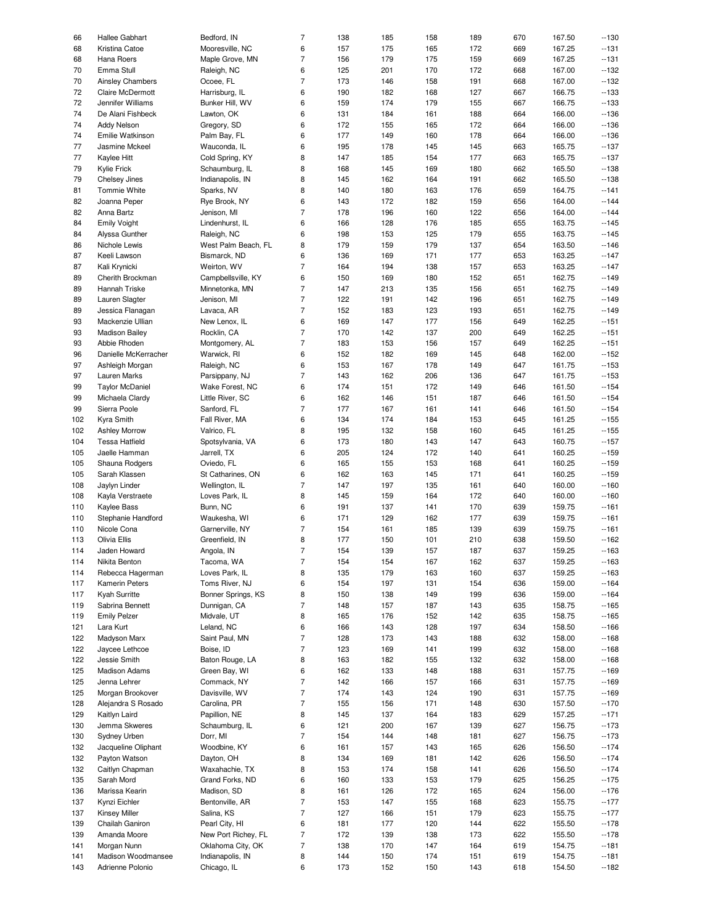| 66  | Hallee Gabhart          | Bedford, IN         | 7                        | 138 | 185 | 158 | 189 | 670 | 167.50 | $-130$ |
|-----|-------------------------|---------------------|--------------------------|-----|-----|-----|-----|-----|--------|--------|
| 68  | Kristina Catoe          | Mooresville, NC     | 6                        | 157 | 175 | 165 | 172 | 669 | 167.25 | $-131$ |
|     |                         |                     |                          |     |     |     |     |     |        |        |
| 68  | Hana Roers              | Maple Grove, MN     | $\overline{7}$           | 156 | 179 | 175 | 159 | 669 | 167.25 | $-131$ |
| 70  | Emma Stull              | Raleigh, NC         | 6                        | 125 | 201 | 170 | 172 | 668 | 167.00 | $-132$ |
| 70  | <b>Ainsley Chambers</b> | Ocoee, FL           | $\overline{7}$           | 173 | 146 | 158 | 191 | 668 | 167.00 | $-132$ |
| 72  | Claire McDermott        | Harrisburg, IL      | 6                        | 190 | 182 | 168 | 127 | 667 | 166.75 | $-133$ |
| 72  | Jennifer Williams       | Bunker Hill, WV     | 6                        | 159 | 174 | 179 | 155 | 667 | 166.75 | $-133$ |
|     |                         |                     |                          |     |     |     |     |     |        |        |
| 74  | De Alani Fishbeck       | Lawton, OK          | 6                        | 131 | 184 | 161 | 188 | 664 | 166.00 | $-136$ |
| 74  | <b>Addy Nelson</b>      | Gregory, SD         | 6                        | 172 | 155 | 165 | 172 | 664 | 166.00 | $-136$ |
| 74  | Emilie Watkinson        | Palm Bay, FL        | 6                        | 177 | 149 | 160 | 178 | 664 | 166.00 | $-136$ |
| 77  | Jasmine Mckeel          | Wauconda, IL        | 6                        | 195 | 178 | 145 | 145 | 663 | 165.75 | $-137$ |
|     |                         |                     |                          |     |     |     |     |     |        |        |
| 77  | Kaylee Hitt             | Cold Spring, KY     | 8                        | 147 | 185 | 154 | 177 | 663 | 165.75 | $-137$ |
| 79  | Kylie Frick             | Schaumburg, IL      | 8                        | 168 | 145 | 169 | 180 | 662 | 165.50 | $-138$ |
| 79  | Chelsey Jines           | Indianapolis, IN    | 8                        | 145 | 162 | 164 | 191 | 662 | 165.50 | $-138$ |
| 81  | Tommie White            | Sparks, NV          | 8                        | 140 | 180 | 163 | 176 | 659 | 164.75 | $-141$ |
|     |                         |                     |                          |     |     |     |     |     |        |        |
| 82  | Joanna Peper            | Rye Brook, NY       | 6                        | 143 | 172 | 182 | 159 | 656 | 164.00 | $-144$ |
| 82  | Anna Bartz              | Jenison, MI         | 7                        | 178 | 196 | 160 | 122 | 656 | 164.00 | $-144$ |
| 84  | <b>Emily Voight</b>     | Lindenhurst, IL     | 6                        | 166 | 128 | 176 | 185 | 655 | 163.75 | $-145$ |
| 84  | Alyssa Gunther          | Raleigh, NC         | 6                        | 198 | 153 | 125 | 179 | 655 | 163.75 | $-145$ |
|     |                         |                     |                          |     |     |     |     |     |        |        |
| 86  | Nichole Lewis           | West Palm Beach, FL | 8                        | 179 | 159 | 179 | 137 | 654 | 163.50 | $-146$ |
| 87  | Keeli Lawson            | Bismarck, ND        | 6                        | 136 | 169 | 171 | 177 | 653 | 163.25 | $-147$ |
| 87  | Kali Krynicki           | Weirton, WV         | 7                        | 164 | 194 | 138 | 157 | 653 | 163.25 | $-147$ |
| 89  | Cherith Brockman        | Campbellsville, KY  | 6                        | 150 | 169 | 180 | 152 | 651 | 162.75 | $-149$ |
|     |                         |                     |                          |     |     |     |     |     |        |        |
| 89  | Hannah Triske           | Minnetonka, MN      | $\overline{7}$           | 147 | 213 | 135 | 156 | 651 | 162.75 | $-149$ |
| 89  | Lauren Slagter          | Jenison, MI         | $\overline{7}$           | 122 | 191 | 142 | 196 | 651 | 162.75 | $-149$ |
| 89  | Jessica Flanagan        | Lavaca, AR          | $\overline{7}$           | 152 | 183 | 123 | 193 | 651 | 162.75 | $-149$ |
|     |                         |                     |                          |     |     |     |     |     |        |        |
| 93  | Mackenzie Ullian        | New Lenox, IL       | 6                        | 169 | 147 | 177 | 156 | 649 | 162.25 | $-151$ |
| 93  | <b>Madison Bailey</b>   | Rocklin, CA         | $\overline{7}$           | 170 | 142 | 137 | 200 | 649 | 162.25 | $-151$ |
| 93  | Abbie Rhoden            | Montgomery, AL      | 7                        | 183 | 153 | 156 | 157 | 649 | 162.25 | $-151$ |
| 96  | Danielle McKerracher    | Warwick, RI         | 6                        | 152 | 182 | 169 | 145 | 648 | 162.00 | $-152$ |
|     |                         |                     |                          |     |     |     |     |     |        |        |
| 97  | Ashleigh Morgan         | Raleigh, NC         | 6                        | 153 | 167 | 178 | 149 | 647 | 161.75 | $-153$ |
| 97  | Lauren Marks            | Parsippany, NJ      | 7                        | 143 | 162 | 206 | 136 | 647 | 161.75 | $-153$ |
| 99  | <b>Taylor McDaniel</b>  | Wake Forest, NC     | 6                        | 174 | 151 | 172 | 149 | 646 | 161.50 | $-154$ |
| 99  | Michaela Clardy         | Little River, SC    | 6                        | 162 | 146 | 151 | 187 | 646 | 161.50 | $-154$ |
|     |                         |                     |                          |     |     |     |     |     |        |        |
| 99  | Sierra Poole            | Sanford, FL         | 7                        | 177 | 167 | 161 | 141 | 646 | 161.50 | $-154$ |
| 102 | Kyra Smith              | Fall River, MA      | 6                        | 134 | 174 | 184 | 153 | 645 | 161.25 | $-155$ |
| 102 | <b>Ashley Morrow</b>    | Valrico, FL         | 8                        | 195 | 132 | 158 | 160 | 645 | 161.25 | $-155$ |
| 104 | <b>Tessa Hatfield</b>   | Spotsylvania, VA    | 6                        | 173 | 180 | 143 | 147 | 643 | 160.75 | $-157$ |
|     |                         |                     |                          |     |     |     |     |     |        |        |
| 105 | Jaelle Hamman           | Jarrell, TX         | 6                        | 205 | 124 | 172 | 140 | 641 | 160.25 | $-159$ |
| 105 | Shauna Rodgers          | Oviedo, FL          | 6                        | 165 | 155 | 153 | 168 | 641 | 160.25 | $-159$ |
| 105 | Sarah Klassen           | St Catharines, ON   | 6                        | 162 | 163 | 145 | 171 | 641 | 160.25 | $-159$ |
| 108 | Jaylyn Linder           | Wellington, IL      | 7                        | 147 | 197 | 135 | 161 | 640 | 160.00 | $-160$ |
|     |                         |                     |                          |     |     |     |     |     |        |        |
| 108 | Kayla Verstraete        | Loves Park, IL      | 8                        | 145 | 159 | 164 | 172 | 640 | 160.00 | $-160$ |
| 110 | Kaylee Bass             | Bunn, NC            | 6                        | 191 | 137 | 141 | 170 | 639 | 159.75 | $-161$ |
| 110 | Stephanie Handford      | Waukesha, WI        | 6                        | 171 | 129 | 162 | 177 | 639 | 159.75 | $-161$ |
| 110 | Nicole Cona             | Garnerville, NY     | $\overline{7}$           | 154 | 161 | 185 | 139 | 639 | 159.75 | $-161$ |
|     |                         |                     |                          |     |     |     |     |     |        |        |
| 113 | Olivia Ellis            | Greenfield, IN      | 8                        | 177 | 150 | 101 | 210 | 638 | 159.50 | $-162$ |
| 114 | Jaden Howard            | Angola, IN          | $\overline{7}$           | 154 | 139 | 157 | 187 | 637 | 159.25 | $-163$ |
| 114 | Nikita Benton           | Tacoma, WA          | $\overline{\phantom{a}}$ | 154 | 154 | 167 | 162 | 637 | 159.25 | $-163$ |
|     |                         |                     |                          |     |     |     |     |     |        |        |
| 114 | Rebecca Hagerman        | Loves Park, IL      | 8                        | 135 | 179 | 163 | 160 | 637 | 159.25 | $-163$ |
| 117 | Kamerin Peters          | Toms River, NJ      | 6                        | 154 | 197 | 131 | 154 | 636 | 159.00 | $-164$ |
| 117 | Kyah Surritte           | Bonner Springs, KS  | 8                        | 150 | 138 | 149 | 199 | 636 | 159.00 | $-164$ |
| 119 | Sabrina Bennett         | Dunnigan, CA        | 7                        | 148 | 157 | 187 | 143 | 635 | 158.75 | $-165$ |
|     |                         |                     |                          |     |     |     |     |     |        |        |
| 119 | <b>Emily Pelzer</b>     | Midvale, UT         | 8                        | 165 | 176 | 152 | 142 | 635 | 158.75 | $-165$ |
| 121 | Lara Kurt               | Leland, NC          | 6                        | 166 | 143 | 128 | 197 | 634 | 158.50 | $-166$ |
| 122 | Madyson Marx            | Saint Paul, MN      | 7                        | 128 | 173 | 143 | 188 | 632 | 158.00 | $-168$ |
| 122 | Jaycee Lethcoe          | Boise, ID           | $\overline{7}$           | 123 | 169 | 141 | 199 | 632 | 158.00 | $-168$ |
|     |                         |                     |                          |     |     |     |     |     |        |        |
| 122 | Jessie Smith            | Baton Rouge, LA     | 8                        | 163 | 182 | 155 | 132 | 632 | 158.00 | $-168$ |
| 125 | <b>Madison Adams</b>    | Green Bay, WI       | 6                        | 162 | 133 | 148 | 188 | 631 | 157.75 | $-169$ |
| 125 | Jenna Lehrer            | Commack, NY         | 7                        | 142 | 166 | 157 | 166 | 631 | 157.75 | $-169$ |
|     |                         | Davisville, WV      | 7                        |     |     |     |     |     |        |        |
| 125 | Morgan Brookover        |                     |                          | 174 | 143 | 124 | 190 | 631 | 157.75 | $-169$ |
| 128 | Alejandra S Rosado      | Carolina, PR        | $\overline{7}$           | 155 | 156 | 171 | 148 | 630 | 157.50 | $-170$ |
| 129 | Kaitlyn Laird           | Papillion, NE       | 8                        | 145 | 137 | 164 | 183 | 629 | 157.25 | $-171$ |
| 130 | Jemma Skweres           | Schaumburg, IL      | 6                        | 121 | 200 | 167 | 139 | 627 | 156.75 | $-173$ |
|     |                         |                     |                          |     |     |     |     |     |        |        |
| 130 | Sydney Urben            | Dorr, MI            | 7                        | 154 | 144 | 148 | 181 | 627 | 156.75 | $-173$ |
| 132 | Jacqueline Oliphant     | Woodbine, KY        | 6                        | 161 | 157 | 143 | 165 | 626 | 156.50 | $-174$ |
| 132 | Payton Watson           | Dayton, OH          | 8                        | 134 | 169 | 181 | 142 | 626 | 156.50 | $-174$ |
| 132 | Caitlyn Chapman         | Waxahachie, TX      | 8                        | 153 | 174 | 158 | 141 | 626 | 156.50 | $-174$ |
|     |                         |                     |                          |     |     |     |     |     |        |        |
| 135 | Sarah Mord              | Grand Forks, ND     | 6                        | 160 | 133 | 153 | 179 | 625 | 156.25 | $-175$ |
| 136 | Marissa Kearin          | Madison, SD         | 8                        | 161 | 126 | 172 | 165 | 624 | 156.00 | $-176$ |
| 137 | Kynzi Eichler           | Bentonville, AR     | $\overline{7}$           | 153 | 147 | 155 | 168 | 623 | 155.75 | $-177$ |
|     |                         |                     |                          |     |     |     |     |     |        |        |
| 137 | <b>Kinsey Miller</b>    | Salina, KS          | 7                        | 127 | 166 | 151 | 179 | 623 | 155.75 | $-177$ |
| 139 | Chailah Ganiron         | Pearl City, HI      | 6                        | 181 | 177 | 120 | 144 | 622 | 155.50 | $-178$ |
| 139 | Amanda Moore            | New Port Richey, FL | $\overline{7}$           | 172 | 139 | 138 | 173 | 622 | 155.50 | $-178$ |
| 141 | Morgan Nunn             | Oklahoma City, OK   | $\overline{7}$           | 138 | 170 | 147 | 164 | 619 | 154.75 | $-181$ |
|     |                         |                     |                          |     |     |     |     |     |        |        |
| 141 | Madison Woodmansee      | Indianapolis, IN    | 8                        | 144 | 150 | 174 | 151 | 619 | 154.75 | $-181$ |
| 143 | Adrienne Polonio        | Chicago, IL         | 6                        | 173 | 152 | 150 | 143 | 618 | 154.50 | $-182$ |
|     |                         |                     |                          |     |     |     |     |     |        |        |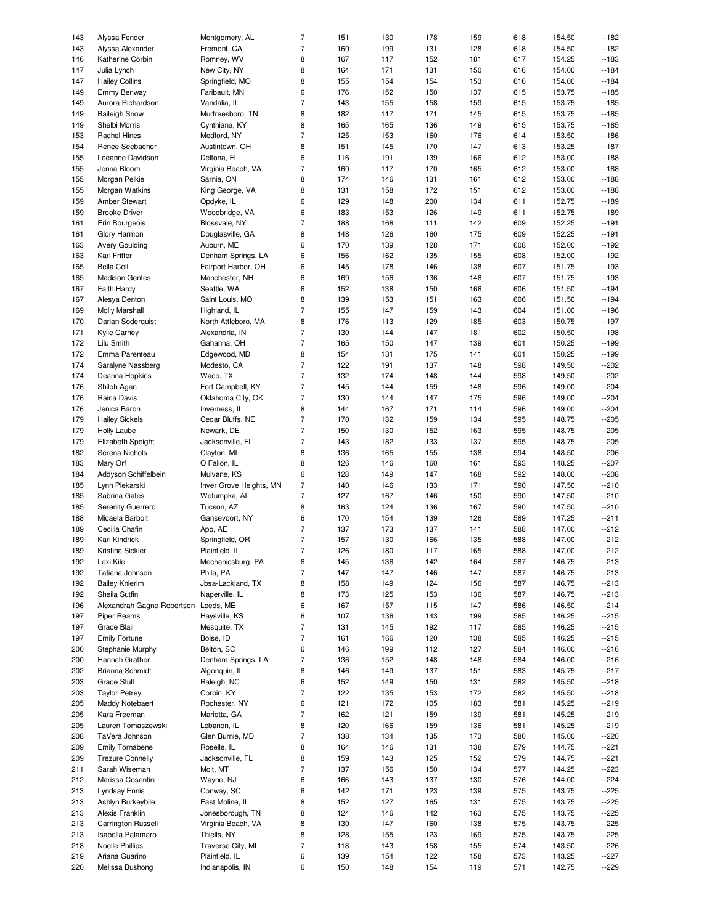| 143        | Alyssa Fender                        | Montgomery, AL                     | 7              | 151        | 130        | 178        | 159        | 618        | 154.50           | $-182$           |
|------------|--------------------------------------|------------------------------------|----------------|------------|------------|------------|------------|------------|------------------|------------------|
| 143        | Alyssa Alexander                     | Fremont, CA                        | 7              | 160        | 199        | 131        | 128        | 618        | 154.50           | $-182$           |
| 146        | Katherine Corbin                     | Romney, WV                         | 8              | 167        | 117        | 152        | 181        | 617        | 154.25           | $-183$           |
|            |                                      |                                    |                |            |            |            |            |            |                  |                  |
| 147        | Julia Lynch                          | New City, NY                       | 8              | 164        | 171        | 131        | 150        | 616        | 154.00           | $-184$           |
| 147        | <b>Hailey Collins</b>                | Springfield, MO                    | 8              | 155        | 154        | 154        | 153        | 616        | 154.00           | $-184$           |
| 149        | Emmy Benway                          | Faribault, MN                      | 6              | 176        | 152        | 150        | 137        | 615        | 153.75           | $-185$           |
| 149        | Aurora Richardson                    | Vandalia, IL                       | 7              | 143        | 155        | 158        | 159        | 615        | 153.75           | $-185$           |
| 149        | <b>Baileigh Snow</b>                 | Murfreesboro, TN                   | 8              | 182        | 117        | 171        | 145        | 615        | 153.75           | $-185$           |
| 149        |                                      |                                    |                |            |            |            |            |            |                  | $-185$           |
|            | Shelbi Morris                        | Cynthiana, KY                      | 8              | 165        | 165        | 136        | 149        | 615        | 153.75           |                  |
| 153        | <b>Rachel Hines</b>                  | Medford, NY                        | 7              | 125        | 153        | 160        | 176        | 614        | 153.50           | $-186$           |
| 154        | Renee Seebacher                      | Austintown, OH                     | 8              | 151        | 145        | 170        | 147        | 613        | 153.25           | $-187$           |
| 155        | Leeanne Davidson                     | Deltona, FL                        | 6              | 116        | 191        | 139        | 166        | 612        | 153.00           | $-188$           |
| 155        | Jenna Bloom                          | Virginia Beach, VA                 | 7              | 160        | 117        | 170        | 165        | 612        | 153.00           | $-188$           |
|            |                                      |                                    |                |            |            |            |            |            |                  |                  |
| 155        | Morgan Pelkie                        | Sarnia, ON                         | 8              | 174        | 146        | 131        | 161        | 612        | 153.00           | $-188$           |
| 155        | Morgan Watkins                       | King George, VA                    | 8              | 131        | 158        | 172        | 151        | 612        | 153.00           | $-188$           |
| 159        | Amber Stewart                        | Opdyke, IL                         | 6              | 129        | 148        | 200        | 134        | 611        | 152.75           | $-189$           |
| 159        | <b>Brooke Driver</b>                 | Woodbridge, VA                     | 6              | 183        | 153        | 126        | 149        | 611        | 152.75           | $-189$           |
| 161        | Erin Bourgeois                       | Blossvale, NY                      | 7              | 188        | 168        | 111        | 142        | 609        | 152.25           | $-191$           |
|            |                                      |                                    |                |            |            |            |            |            |                  |                  |
| 161        | Glory Harmon                         | Douglasville, GA                   | 8              | 148        | 126        | 160        | 175        | 609        | 152.25           | $-191$           |
| 163        | <b>Avery Goulding</b>                | Auburn, ME                         | 6              | 170        | 139        | 128        | 171        | 608        | 152.00           | $-192$           |
| 163        | Kari Fritter                         | Denham Springs, LA                 | 6              | 156        | 162        | 135        | 155        | 608        | 152.00           | $-192$           |
| 165        | <b>Bella Coll</b>                    | Fairport Harbor, OH                | 6              | 145        | 178        | 146        | 138        | 607        | 151.75           | $-193$           |
| 165        | <b>Madison Gentes</b>                | Manchester, NH                     | 6              | 169        | 156        | 136        | 146        | 607        | 151.75           | $-193$           |
|            |                                      |                                    |                |            |            |            |            |            |                  |                  |
| 167        | Faith Hardy                          | Seattle, WA                        | 6              | 152        | 138        | 150        | 166        | 606        | 151.50           | $-194$           |
| 167        | Alesya Denton                        | Saint Louis, MO                    | 8              | 139        | 153        | 151        | 163        | 606        | 151.50           | $-194$           |
| 169        | <b>Molly Marshall</b>                | Highland, IL                       | 7              | 155        | 147        | 159        | 143        | 604        | 151.00           | $-196$           |
| 170        | Darian Soderquist                    | North Attleboro, MA                | 8              | 176        | 113        | 129        | 185        | 603        | 150.75           | $-197$           |
|            |                                      | Alexandria, IN                     | $\overline{7}$ |            |            | 147        |            | 602        |                  | $-198$           |
| 171        | Kylie Carney                         |                                    |                | 130        | 144        |            | 181        |            | 150.50           |                  |
| 172        | Lilu Smith                           | Gahanna, OH                        | 7              | 165        | 150        | 147        | 139        | 601        | 150.25           | $-199$           |
| 172        | Emma Parenteau                       | Edgewood, MD                       | 8              | 154        | 131        | 175        | 141        | 601        | 150.25           | $-199$           |
| 174        | Saralyne Nassberg                    | Modesto, CA                        | 7              | 122        | 191        | 137        | 148        | 598        | 149.50           | $-202$           |
| 174        | Deanna Hopkins                       | Waco, TX                           | $\overline{7}$ | 132        | 174        | 148        | 144        | 598        | 149.50           | $-202$           |
|            |                                      |                                    | $\overline{7}$ |            |            |            |            |            |                  | $-204$           |
| 176        | Shiloh Agan                          | Fort Campbell, KY                  |                | 145        | 144        | 159        | 148        | 596        | 149.00           |                  |
| 176        | Raina Davis                          | Oklahoma City, OK                  | $\overline{7}$ | 130        | 144        | 147        | 175        | 596        | 149.00           | $-204$           |
| 176        | Jenica Baron                         | Inverness, IL                      | 8              | 144        | 167        | 171        | 114        | 596        | 149.00           | $-204$           |
| 179        | <b>Hailey Sickels</b>                | Cedar Bluffs, NE                   | 7              | 170        | 132        | 159        | 134        | 595        | 148.75           | $-205$           |
| 179        | <b>Holly Laube</b>                   | Newark, DE                         | $\overline{7}$ | 150        | 130        | 152        | 163        | 595        | 148.75           | $-205$           |
|            |                                      |                                    |                |            |            |            |            |            |                  |                  |
| 179        | Elizabeth Speight                    | Jacksonville, FL                   | 7              | 143        | 182        | 133        | 137        | 595        | 148.75           | $-205$           |
| 182        | Serena Nichols                       | Clayton, MI                        | 8              | 136        | 165        | 155        | 138        | 594        | 148.50           | $-206$           |
| 183        | Mary Orf                             | O Fallon, IL                       | 8              | 126        | 146        | 160        | 161        | 593        | 148.25           | $-207$           |
| 184        | Addyson Schiffelbein                 | Mulvane, KS                        | 6              | 128        | 149        | 147        | 168        | 592        | 148.00           | $-208$           |
| 185        | Lynn Piekarski                       | Inver Grove Heights, MN            | $\overline{7}$ | 140        | 146        | 133        | 171        | 590        | 147.50           | $-210$           |
| 185        | Sabrina Gates                        | Wetumpka, AL                       | 7              | 127        | 167        | 146        | 150        | 590        | 147.50           | $-210$           |
|            |                                      |                                    |                |            |            |            |            |            |                  |                  |
| 185        | Serenity Guerrero                    | Tucson, AZ                         | 8              | 163        | 124        | 136        | 167        | 590        | 147.50           | $-210$           |
| 188        | Micaela Barbolt                      | Gansevoort, NY                     | 6              | 170        | 154        | 139        | 126        | 589        | 147.25           | $-211$           |
| 189        | Cecilia Chafin                       | Apo, AE                            | $\overline{7}$ | 137        | 173        | 137        | 141        | 588        | 147.00           | $-212$           |
| 189        | Kari Kindrick                        | Springfield, OR                    | 7              | 157        | 130        | 166        | 135        | 588        | 147.00           | $-212$           |
| 189        |                                      | Plainfield, IL                     | $\overline{7}$ |            |            |            |            |            |                  |                  |
|            |                                      |                                    |                |            |            |            |            |            |                  |                  |
|            | Kristina Sickler                     |                                    |                | 126        | 180        | 117        | 165        | 588        | 147.00           | $-212$           |
| 192        | Lexi Kile                            | Mechanicsburg, PA                  | 6              | 145        | 136        | 142        | 164        | 587        | 146.75           | $-213$           |
| 192        | Tatiana Johnson                      | Phila, PA                          | $\overline{7}$ | 147        | 147        | 146        | 147        | 587        | 146.75           | $-213$           |
| 192        | <b>Bailey Knierim</b>                | Jbsa-Lackland, TX                  | 8              | 158        | 149        | 124        | 156        | 587        | 146.75           |                  |
|            |                                      |                                    |                |            |            |            |            |            |                  | $-213$           |
| 192        | Sheila Sutfin                        | Naperville, IL                     | 8              | 173        | 125        | 153        | 136        | 587        | 146.75           | $-213$           |
| 196        | Alexandrah Gagne-Robertson Leeds, ME |                                    | 6              | 167        | 157        | 115        | 147        | 586        | 146.50           | $-214$           |
| 197        | Piper Reams                          | Haysville, KS                      | 6              | 107        | 136        | 143        | 199        | 585        | 146.25           | $-215$           |
| 197        | Grace Blair                          | Mesquite, TX                       | 7              | 131        | 145        | 192        | 117        | 585        | 146.25           | $-215$           |
|            |                                      |                                    |                |            |            |            |            |            |                  |                  |
| 197        | <b>Emily Fortune</b>                 | Boise, ID                          | 7              | 161        | 166        | 120        | 138        | 585        | 146.25           | $-215$           |
| 200        | Stephanie Murphy                     | Belton, SC                         | 6              | 146        | 199        | 112        | 127        | 584        | 146.00           | $-216$           |
| 200        | Hannah Grather                       | Denham Springs, LA                 | $\overline{7}$ | 136        | 152        | 148        | 148        | 584        | 146.00           | $-216$           |
| 202        | Brianna Schmidt                      | Algonquin, IL                      | 8              | 146        | 149        | 137        | 151        | 583        | 145.75           | $-217$           |
| 203        | Grace Stull                          | Raleigh, NC                        | 6              | 152        | 149        | 150        | 131        | 582        | 145.50           | $-218$           |
|            |                                      |                                    |                |            |            |            |            |            |                  |                  |
| 203        | <b>Taylor Petrey</b>                 | Corbin, KY                         | $\overline{7}$ | 122        | 135        | 153        | 172        | 582        | 145.50           | $-218$           |
| 205        | Maddy Notebaert                      | Rochester, NY                      | 6              | 121        | 172        | 105        | 183        | 581        | 145.25           | $-219$           |
| 205        | Kara Freeman                         | Marietta, GA                       | 7              | 162        | 121        | 159        | 139        | 581        | 145.25           | $-219$           |
| 205        | Lauren Tomaszewski                   | Lebanon, IL                        | 8              | 120        | 166        | 159        | 136        | 581        | 145.25           | $-219$           |
| 208        | TaVera Johnson                       | Glen Burnie, MD                    | $\overline{7}$ | 138        | 134        |            |            | 580        | 145.00           | $-220$           |
|            |                                      |                                    |                |            |            | 135        | 173        |            |                  |                  |
| 209        | <b>Emily Tornabene</b>               | Roselle, IL                        | 8              | 164        | 146        | 131        | 138        | 579        | 144.75           | $-221$           |
| 209        | <b>Trezure Connelly</b>              | Jacksonville, FL                   | 8              | 159        | 143        | 125        | 152        | 579        | 144.75           | $-221$           |
| 211        | Sarah Wiseman                        | Molt, MT                           | 7              | 137        | 156        | 150        | 134        | 577        | 144.25           | $-223$           |
| 212        | Marissa Cosentini                    | Wayne, NJ                          | 6              | 166        | 143        | 137        | 130        | 576        | 144.00           | $-224$           |
| 213        | <b>Lyndsay Ennis</b>                 | Conway, SC                         | 6              | 142        | 171        | 123        | 139        | 575        | 143.75           | $-225$           |
|            |                                      |                                    |                |            |            |            |            |            |                  |                  |
| 213        | Ashlyn Burkeybile                    | East Moline, IL                    | 8              | 152        | 127        | 165        | 131        | 575        | 143.75           | $-225$           |
| 213        | Alexis Franklin                      | Jonesborough, TN                   | 8              | 124        | 146        | 142        | 163        | 575        | 143.75           | $-225$           |
| 213        | <b>Carrington Russell</b>            | Virginia Beach, VA                 | 8              | 130        | 147        | 160        | 138        | 575        | 143.75           | $-225$           |
| 213        | Isabella Palamaro                    | Thiells, NY                        | 8              | 128        | 155        | 123        | 169        | 575        | 143.75           | $-225$           |
| 218        | Noelle Phillips                      | Traverse City, MI                  | 7              | 118        | 143        | 158        | 155        | 574        | 143.50           | $-226$           |
|            |                                      |                                    |                |            |            |            |            |            |                  |                  |
| 219<br>220 | Ariana Guarino<br>Melissa Bushong    | Plainfield, IL<br>Indianapolis, IN | 6<br>6         | 139<br>150 | 154<br>148 | 122<br>154 | 158<br>119 | 573<br>571 | 143.25<br>142.75 | $-227$<br>$-229$ |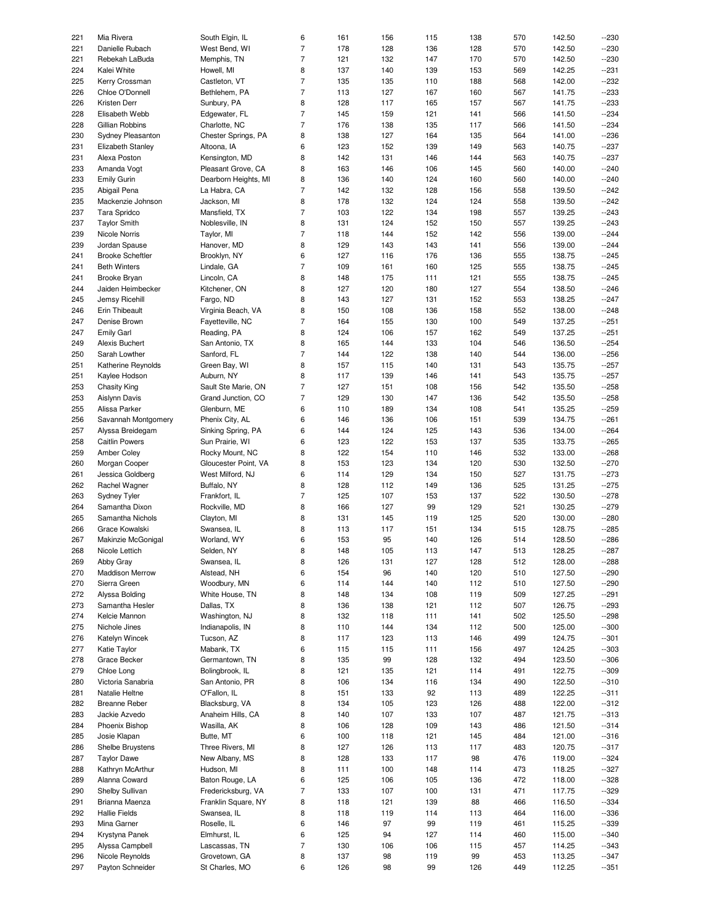| 221 | Mia Rivera              | South Elgin, IL      | 6              | 161 | 156 | 115 | 138 | 570 | 142.50 | --230  |
|-----|-------------------------|----------------------|----------------|-----|-----|-----|-----|-----|--------|--------|
|     |                         |                      |                |     |     |     |     |     |        |        |
| 221 | Danielle Rubach         | West Bend, WI        | $\overline{7}$ | 178 | 128 | 136 | 128 | 570 | 142.50 | $-230$ |
| 221 | Rebekah LaBuda          | Memphis, TN          | $\overline{7}$ | 121 | 132 | 147 | 170 | 570 | 142.50 | $-230$ |
| 224 |                         | Howell, MI           | 8              | 137 | 140 | 139 |     |     | 142.25 |        |
|     | Kalei White             |                      |                |     |     |     | 153 | 569 |        | $-231$ |
| 225 | Kerry Crossman          | Castleton, VT        | $\overline{7}$ | 135 | 135 | 110 | 188 | 568 | 142.00 | $-232$ |
| 226 | Chloe O'Donnell         | Bethlehem, PA        | $\overline{7}$ | 113 | 127 | 167 | 160 | 567 | 141.75 | $-233$ |
|     |                         |                      |                |     |     |     |     |     |        |        |
| 226 | Kristen Derr            | Sunbury, PA          | 8              | 128 | 117 | 165 | 157 | 567 | 141.75 | $-233$ |
| 228 | Elisabeth Webb          | Edgewater, FL        | $\overline{7}$ | 145 | 159 | 121 | 141 | 566 | 141.50 | $-234$ |
|     |                         |                      |                |     |     |     |     |     |        |        |
| 228 | Gillian Robbins         | Charlotte, NC        | $\overline{7}$ | 176 | 138 | 135 | 117 | 566 | 141.50 | $-234$ |
| 230 | Sydney Pleasanton       | Chester Springs, PA  | 8              | 138 | 127 | 164 | 135 | 564 | 141.00 | $-236$ |
|     |                         |                      |                |     | 152 |     |     |     |        | $-237$ |
| 231 | Elizabeth Stanley       | Altoona, IA          | 6              | 123 |     | 139 | 149 | 563 | 140.75 |        |
| 231 | Alexa Poston            | Kensington, MD       | 8              | 142 | 131 | 146 | 144 | 563 | 140.75 | $-237$ |
| 233 | Amanda Vogt             | Pleasant Grove, CA   | 8              | 163 | 146 | 106 | 145 | 560 | 140.00 | $-240$ |
|     |                         |                      |                |     |     |     |     |     |        |        |
| 233 | <b>Emily Gurin</b>      | Dearborn Heights, MI | 8              | 136 | 140 | 124 | 160 | 560 | 140.00 | $-240$ |
| 235 | Abigail Pena            | La Habra, CA         | $\overline{7}$ | 142 | 132 | 128 | 156 | 558 | 139.50 | $-242$ |
|     |                         |                      |                |     |     |     |     |     |        |        |
| 235 | Mackenzie Johnson       | Jackson, MI          | 8              | 178 | 132 | 124 | 124 | 558 | 139.50 | $-242$ |
| 237 | Tara Spridco            | Mansfield, TX        | $\overline{7}$ | 103 | 122 | 134 | 198 | 557 | 139.25 | $-243$ |
| 237 | <b>Taylor Smith</b>     | Noblesville, IN      | 8              | 131 | 124 | 152 | 150 | 557 | 139.25 | $-243$ |
|     |                         |                      |                |     |     |     |     |     |        |        |
| 239 | <b>Nicole Norris</b>    | Taylor, MI           | $\overline{7}$ | 118 | 144 | 152 | 142 | 556 | 139.00 | $-244$ |
| 239 | Jordan Spause           | Hanover, MD          | 8              | 129 | 143 | 143 | 141 | 556 | 139.00 | $-244$ |
|     |                         |                      |                |     |     |     |     |     |        |        |
| 241 | <b>Brooke Scheftler</b> | Brooklyn, NY         | 6              | 127 | 116 | 176 | 136 | 555 | 138.75 | $-245$ |
| 241 | <b>Beth Winters</b>     | Lindale, GA          | $\overline{7}$ | 109 | 161 | 160 | 125 | 555 | 138.75 | $-245$ |
| 241 |                         | Lincoln, CA          | 8              |     | 175 |     |     | 555 | 138.75 | $-245$ |
|     | <b>Brooke Bryan</b>     |                      |                | 148 |     | 111 | 121 |     |        |        |
| 244 | Jaiden Heimbecker       | Kitchener, ON        | 8              | 127 | 120 | 180 | 127 | 554 | 138.50 | $-246$ |
| 245 | Jemsy Ricehill          | Fargo, ND            | 8              | 143 | 127 | 131 | 152 | 553 | 138.25 | $-247$ |
|     |                         |                      |                |     |     |     |     |     |        |        |
| 246 | Erin Thibeault          | Virginia Beach, VA   | 8              | 150 | 108 | 136 | 158 | 552 | 138.00 | $-248$ |
| 247 | Denise Brown            | Fayetteville, NC     | $\overline{7}$ | 164 | 155 | 130 | 100 | 549 | 137.25 | $-251$ |
|     |                         |                      |                |     |     |     |     |     |        |        |
| 247 | <b>Emily Garl</b>       | Reading, PA          | 8              | 124 | 106 | 157 | 162 | 549 | 137.25 | $-251$ |
| 249 | Alexis Buchert          | San Antonio, TX      | 8              | 165 | 144 | 133 | 104 | 546 | 136.50 | $-254$ |
|     |                         |                      |                |     |     |     |     |     |        |        |
| 250 | Sarah Lowther           | Sanford, FL          | $\overline{7}$ | 144 | 122 | 138 | 140 | 544 | 136.00 | $-256$ |
| 251 | Katherine Reynolds      | Green Bay, WI        | 8              | 157 | 115 | 140 | 131 | 543 | 135.75 | $-257$ |
|     |                         |                      | 8              |     |     |     |     |     |        |        |
| 251 | Kaylee Hodson           | Auburn, NY           |                | 117 | 139 | 146 | 141 | 543 | 135.75 | $-257$ |
| 253 | <b>Chasity King</b>     | Sault Ste Marie, ON  | $\overline{7}$ | 127 | 151 | 108 | 156 | 542 | 135.50 | $-258$ |
| 253 | Aislynn Davis           | Grand Junction, CO   | $\overline{7}$ | 129 | 130 | 147 | 136 | 542 | 135.50 | $-258$ |
|     |                         |                      |                |     |     |     |     |     |        |        |
| 255 | Alissa Parker           | Glenburn, ME         | 6              | 110 | 189 | 134 | 108 | 541 | 135.25 | $-259$ |
| 256 | Savannah Montgomery     | Phenix City, AL      | 6              | 146 | 136 | 106 | 151 | 539 | 134.75 | $-261$ |
|     |                         |                      |                |     |     |     |     |     |        |        |
| 257 | Alyssa Breidegam        | Sinking Spring, PA   | 6              | 144 | 124 | 125 | 143 | 536 | 134.00 | $-264$ |
| 258 | <b>Caitlin Powers</b>   | Sun Prairie, WI      | 6              | 123 | 122 | 153 | 137 | 535 | 133.75 | $-265$ |
| 259 | Amber Coley             | Rocky Mount, NC      | 8              | 122 | 154 | 110 | 146 | 532 | 133.00 | $-268$ |
|     |                         |                      |                |     |     |     |     |     |        |        |
| 260 | Morgan Cooper           | Gloucester Point, VA | 8              | 153 | 123 | 134 | 120 | 530 | 132.50 | $-270$ |
| 261 | Jessica Goldberg        | West Milford, NJ     | 6              | 114 | 129 | 134 | 150 | 527 | 131.75 | $-273$ |
|     |                         |                      |                |     |     |     |     |     |        |        |
| 262 | Rachel Wagner           | Buffalo, NY          | 8              | 128 | 112 | 149 | 136 | 525 | 131.25 | $-275$ |
| 263 | Sydney Tyler            | Frankfort, IL        | $\overline{7}$ | 125 | 107 | 153 | 137 | 522 | 130.50 | $-278$ |
|     |                         |                      |                |     |     |     |     |     |        |        |
| 264 | Samantha Dixon          | Rockville, MD        | 8              | 166 | 127 | 99  | 129 | 521 | 130.25 | $-279$ |
| 265 | Samantha Nichols        | Clayton, MI          | 8              | 131 | 145 | 119 | 125 | 520 | 130.00 | $-280$ |
| 266 | Grace Kowalski          | Swansea, IL          | 8              | 113 | 117 | 151 | 134 | 515 | 128.75 | $-285$ |
|     |                         |                      |                |     |     |     |     |     |        |        |
| 267 | Makinzie McGonigal      | Worland, WY          | 6              | 153 | 95  | 140 | 126 | 514 | 128.50 | $-286$ |
| 268 | Nicole Lettich          | Selden, NY           | 8              | 148 | 105 | 113 | 147 | 513 | 128.25 | $-287$ |
|     |                         |                      |                |     |     |     |     |     |        |        |
| 269 | Abby Gray               | Swansea, IL          | 8              | 126 | 131 | 127 | 128 | 512 | 128.00 | --288  |
| 270 | Maddison Merrow         | Alstead, NH          | 6              | 154 | 96  | 140 | 120 | 510 | 127.50 | $-290$ |
|     |                         |                      |                |     |     |     |     |     |        |        |
| 270 | Sierra Green            | Woodbury, MN         | 6              | 114 | 144 | 140 | 112 | 510 | 127.50 | $-290$ |
| 272 | Alyssa Bolding          | White House, TN      | 8              | 148 | 134 | 108 | 119 | 509 | 127.25 | $-291$ |
|     | Samantha Hesler         |                      | 8              |     |     |     |     |     |        | $-293$ |
| 273 |                         | Dallas, TX           |                | 136 | 138 | 121 | 112 | 507 | 126.75 |        |
| 274 | Kelcie Mannon           | Washington, NJ       | 8              | 132 | 118 | 111 | 141 | 502 | 125.50 | $-298$ |
| 275 | Nichole Jines           | Indianapolis, IN     | 8              | 110 | 144 | 134 | 112 | 500 | 125.00 | $-300$ |
|     |                         |                      |                |     |     |     |     |     |        |        |
| 276 | Katelyn Wincek          | Tucson, AZ           | 8              | 117 | 123 | 113 | 146 | 499 | 124.75 | $-301$ |
| 277 | Katie Taylor            | Mabank, TX           | 6              | 115 | 115 | 111 | 156 | 497 | 124.25 | $-303$ |
| 278 | Grace Becker            | Germantown, TN       |                |     |     |     |     |     |        | $-306$ |
|     |                         |                      | 8              | 135 | 99  | 128 | 132 | 494 | 123.50 |        |
| 279 | Chloe Long              | Bolingbrook, IL      | 8              | 121 | 135 | 121 | 114 | 491 | 122.75 | $-309$ |
| 280 | Victoria Sanabria       | San Antonio, PR      | 8              | 106 | 134 | 116 | 134 | 490 | 122.50 | $-310$ |
|     |                         |                      |                |     |     |     |     |     |        |        |
| 281 | Natalie Heltne          | O'Fallon, IL         | 8              | 151 | 133 | 92  | 113 | 489 | 122.25 | $-311$ |
| 282 | <b>Breanne Reber</b>    | Blacksburg, VA       | 8              | 134 | 105 | 123 | 126 | 488 | 122.00 | $-312$ |
|     |                         |                      |                |     |     |     |     |     |        |        |
| 283 | Jackie Azvedo           | Anaheim Hills, CA    | 8              | 140 | 107 | 133 | 107 | 487 | 121.75 | $-313$ |
| 284 | Phoenix Bishop          | Wasilla, AK          | 8              | 106 | 128 | 109 | 143 | 486 | 121.50 | $-314$ |
| 285 | Josie Klapan            | Butte, MT            | 6              | 100 |     |     |     | 484 | 121.00 | $-316$ |
|     |                         |                      |                |     | 118 | 121 | 145 |     |        |        |
| 286 | Shelbe Bruystens        | Three Rivers, MI     | 8              | 127 | 126 | 113 | 117 | 483 | 120.75 | $-317$ |
| 287 | <b>Taylor Dawe</b>      | New Albany, MS       | 8              | 128 | 133 | 117 | 98  | 476 | 119.00 | $-324$ |
|     |                         |                      |                |     |     |     |     |     |        |        |
| 288 | Kathryn McArthur        | Hudson, MI           | 8              | 111 | 100 | 148 | 114 | 473 | 118.25 | $-327$ |
| 289 | Alanna Coward           | Baton Rouge, LA      | 6              | 125 | 106 | 105 | 136 | 472 | 118.00 | $-328$ |
|     |                         |                      | $\overline{7}$ |     |     |     |     |     |        |        |
| 290 | Shelby Sullivan         | Fredericksburg, VA   |                | 133 | 107 | 100 | 131 | 471 | 117.75 | $-329$ |
| 291 | Brianna Maenza          | Franklin Square, NY  | 8              | 118 | 121 | 139 | 88  | 466 | 116.50 | $-334$ |
| 292 | <b>Hallie Fields</b>    | Swansea, IL          | 8              | 118 | 119 | 114 | 113 | 464 | 116.00 | $-336$ |
|     |                         |                      |                |     |     |     |     |     |        |        |
| 293 | Mina Garner             | Roselle, IL          | 6              | 146 | 97  | 99  | 119 | 461 | 115.25 | $-339$ |
| 294 | Krystyna Panek          | Elmhurst, IL         | 6              | 125 | 94  | 127 | 114 | 460 | 115.00 | $-340$ |
| 295 | Alyssa Campbell         | Lascassas, TN        | $\overline{7}$ | 130 | 106 | 106 | 115 | 457 | 114.25 | $-343$ |
|     |                         |                      |                |     |     |     |     |     |        |        |
| 296 | Nicole Reynolds         | Grovetown, GA        | 8              | 137 | 98  | 119 | 99  | 453 | 113.25 | $-347$ |
| 297 | Payton Schneider        | St Charles, MO       | 6              | 126 | 98  | 99  | 126 | 449 | 112.25 | $-351$ |
|     |                         |                      |                |     |     |     |     |     |        |        |